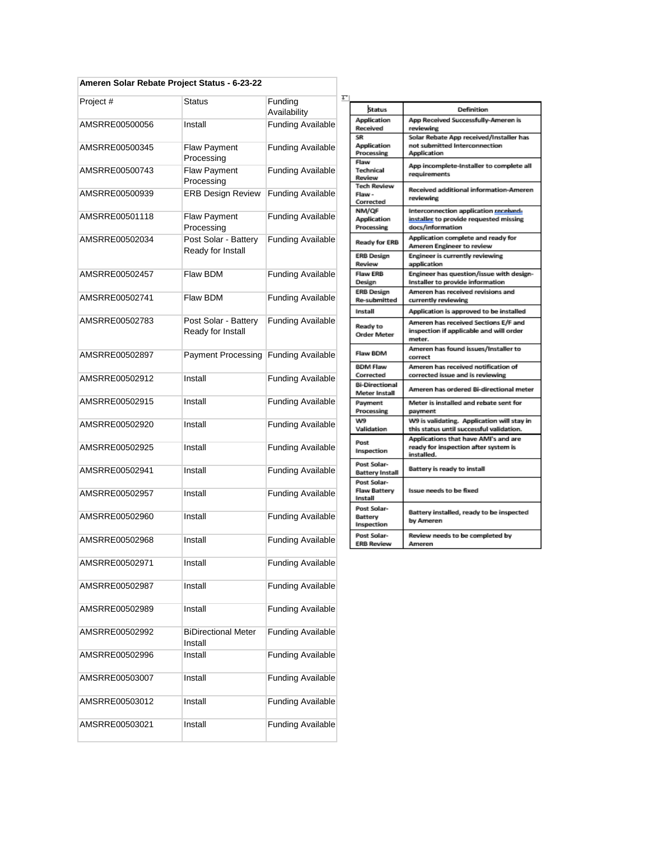## **Ameren Solar Rebate Project Status - 6-23-22**

| Project #      | <b>Status</b>                             | Funding<br>Availability  |
|----------------|-------------------------------------------|--------------------------|
| AMSRRE00500056 | Install                                   | <b>Funding Available</b> |
| AMSRRE00500345 | <b>Flaw Payment</b><br>Processing         | <b>Funding Available</b> |
| AMSRRE00500743 | Flaw Payment<br>Processing                | <b>Funding Available</b> |
| AMSRRE00500939 | <b>ERB Design Review</b>                  | <b>Funding Available</b> |
| AMSRRE00501118 | Flaw Payment<br>Processing                | <b>Funding Available</b> |
| AMSRRE00502034 | Post Solar - Battery<br>Ready for Install | <b>Funding Available</b> |
| AMSRRE00502457 | Flaw BDM                                  | <b>Funding Available</b> |
| AMSRRE00502741 | Flaw BDM                                  | <b>Funding Available</b> |
| AMSRRE00502783 | Post Solar - Battery<br>Ready for Install | <b>Funding Available</b> |
| AMSRRE00502897 | <b>Payment Processing</b>                 | <b>Funding Available</b> |
| AMSRRE00502912 | Install                                   | <b>Funding Available</b> |
| AMSRRE00502915 | Install                                   | <b>Funding Available</b> |
| AMSRRE00502920 | Install                                   | <b>Funding Available</b> |
| AMSRRE00502925 | Install                                   | <b>Funding Available</b> |
| AMSRRE00502941 | Install                                   | <b>Funding Available</b> |
| AMSRRE00502957 | Install                                   | <b>Funding Available</b> |
| AMSRRE00502960 | Install                                   | <b>Funding Available</b> |
| AMSRRE00502968 | Install                                   | <b>Funding Available</b> |
| AMSRRE00502971 | Install                                   | <b>Funding Available</b> |
| AMSRRE00502987 | Install                                   | <b>Funding Available</b> |
| AMSRRE00502989 | Install                                   | <b>Funding Available</b> |
| AMSRRE00502992 | <b>BiDirectional Meter</b><br>Install     | <b>Funding Available</b> |
| AMSRRE00502996 | Install                                   | <b>Funding Available</b> |
| AMSRRE00503007 | Install                                   | <b>Funding Available</b> |
| AMSRRE00503012 | Install                                   | <b>Funding Available</b> |
| AMSRRE00503021 | Install                                   | <b>Funding Available</b> |

| t.                                            |                                          |                                                                                                     |
|-----------------------------------------------|------------------------------------------|-----------------------------------------------------------------------------------------------------|
|                                               | Status                                   | <b>Definition</b>                                                                                   |
| Application<br>Received                       |                                          | App Received Successfully-Ameren is<br>reviewing                                                    |
|                                               | SR<br>Application<br>Processing          | Solar Rebate App received/Installer has<br>not submitted Interconnection<br>Application             |
|                                               | Flaw<br><b>Technical</b><br>Review       | App incomplete-Installer to complete all<br>requirements                                            |
|                                               | <b>Tech Review</b><br>Flaw-<br>Corrected | Received additional information-Ameren<br>reviewing                                                 |
|                                               | NM/QF<br>Application<br>Processing       | Interconnection application received-<br>installer to provide requested missing<br>docs/information |
|                                               | Ready for ERB                            | Application complete and ready for<br>Ameren Engineer to review                                     |
|                                               | <b>ERB Design</b><br>Review              | Engineer is currently reviewing<br>application                                                      |
|                                               | <b>Flaw ERB</b><br>Design                | Engineer has question/issue with design-<br>Installer to provide information                        |
|                                               | <b>ERB Design</b><br><b>Re-submitted</b> | Ameren has received revisions and<br>currently reviewing                                            |
|                                               | Install                                  | Application is approved to be installed                                                             |
|                                               | Ready to<br><b>Order Meter</b>           | Ameren has received Sections E/F and<br>inspection if applicable and will order<br>meter.           |
|                                               | Flaw BDM                                 | Ameren has found issues/Installer to<br>correct                                                     |
|                                               | <b>BDM Flaw</b><br>Corrected             | Ameren has received notification of<br>corrected issue and is reviewing                             |
|                                               | <b>Bi-Directional</b><br>Meter Install   | Ameren has ordered Bi-directional meter                                                             |
|                                               | Payment<br>Processing                    | Meter is installed and rebate sent for<br>payment                                                   |
| w9<br>Validation                              |                                          | W9 is validating. Application will stay in<br>this status until successful validation.              |
|                                               | Post<br>Inspection                       | Applications that have AMI's and are<br>ready for inspection after system is<br>installed.          |
| Post Solar-                                   | <b>Battery Install</b>                   | Battery is ready to install                                                                         |
| Post Solar-<br><b>Flaw Battery</b><br>Install |                                          | Issue needs to be fixed                                                                             |
|                                               | Post Solar-<br>Battery<br>Inspection     | Battery installed, ready to be inspected<br>by Ameren                                               |
|                                               | Post Solar-<br><b>ERB Review</b>         | Review needs to be completed by<br>Ameren                                                           |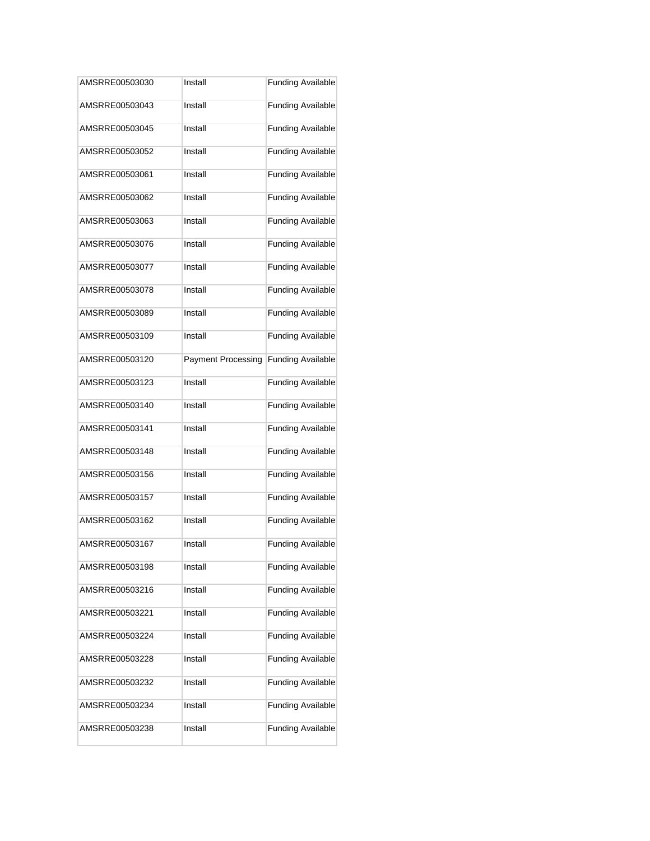| AMSRRE00503030 | Install                   | <b>Funding Available</b> |
|----------------|---------------------------|--------------------------|
| AMSRRE00503043 | Install                   | <b>Funding Available</b> |
| AMSRRE00503045 | Install                   | <b>Funding Available</b> |
| AMSRRE00503052 | Install                   | <b>Funding Available</b> |
| AMSRRE00503061 | Install                   | <b>Funding Available</b> |
| AMSRRE00503062 | Install                   | <b>Funding Available</b> |
| AMSRRE00503063 | Install                   | <b>Funding Available</b> |
| AMSRRE00503076 | Install                   | <b>Funding Available</b> |
| AMSRRE00503077 | Install                   | <b>Funding Available</b> |
| AMSRRE00503078 | Install                   | <b>Funding Available</b> |
| AMSRRE00503089 | Install                   | <b>Funding Available</b> |
| AMSRRE00503109 | Install                   | <b>Funding Available</b> |
| AMSRRE00503120 | <b>Payment Processing</b> | <b>Funding Available</b> |
| AMSRRE00503123 | Install                   | <b>Funding Available</b> |
| AMSRRE00503140 | Install                   | <b>Funding Available</b> |
| AMSRRE00503141 | Install                   | <b>Funding Available</b> |
| AMSRRE00503148 | Install                   | <b>Funding Available</b> |
| AMSRRE00503156 | Install                   | <b>Funding Available</b> |
| AMSRRE00503157 | Install                   | <b>Funding Available</b> |
| AMSRRE00503162 | Install                   | <b>Funding Available</b> |
| AMSRRE00503167 | Install                   | <b>Funding Available</b> |
| AMSRRE00503198 | Install                   | <b>Funding Available</b> |
| AMSRRE00503216 | Install                   | <b>Funding Available</b> |
| AMSRRE00503221 | Install                   | <b>Funding Available</b> |
| AMSRRE00503224 | Install                   | <b>Funding Available</b> |
| AMSRRE00503228 | Install                   | <b>Funding Available</b> |
| AMSRRE00503232 | Install                   | <b>Funding Available</b> |
| AMSRRE00503234 | Install                   | <b>Funding Available</b> |
| AMSRRE00503238 | Install                   | <b>Funding Available</b> |
|                |                           |                          |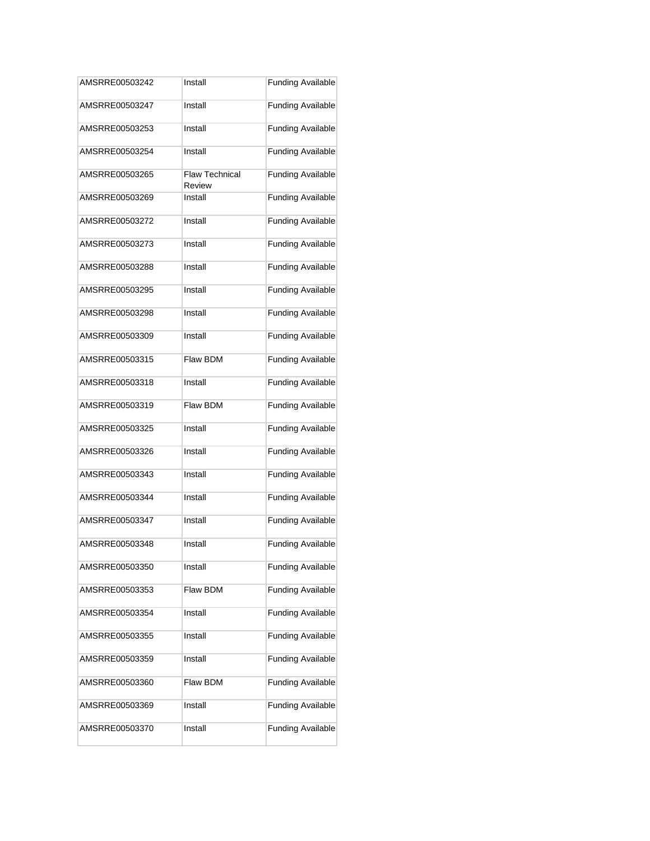| AMSRRE00503242 | Install                         | <b>Funding Available</b> |
|----------------|---------------------------------|--------------------------|
| AMSRRE00503247 | Install                         | <b>Funding Available</b> |
| AMSRRE00503253 | Install                         | <b>Funding Available</b> |
| AMSRRE00503254 | Install                         | <b>Funding Available</b> |
| AMSRRE00503265 | <b>Flaw Technical</b><br>Review | <b>Funding Available</b> |
| AMSRRE00503269 | Install                         | <b>Funding Available</b> |
| AMSRRE00503272 | Install                         | <b>Funding Available</b> |
| AMSRRE00503273 | Install                         | <b>Funding Available</b> |
| AMSRRE00503288 | Install                         | <b>Funding Available</b> |
| AMSRRE00503295 | Install                         | <b>Funding Available</b> |
| AMSRRE00503298 | Install                         | <b>Funding Available</b> |
| AMSRRE00503309 | Install                         | <b>Funding Available</b> |
| AMSRRE00503315 | Flaw BDM                        | <b>Funding Available</b> |
| AMSRRE00503318 | Install                         | <b>Funding Available</b> |
| AMSRRE00503319 | Flaw BDM                        | <b>Funding Available</b> |
| AMSRRE00503325 | Install                         | <b>Funding Available</b> |
| AMSRRE00503326 | Install                         | <b>Funding Available</b> |
| AMSRRE00503343 | Install                         | <b>Funding Available</b> |
| AMSRRE00503344 | Install                         | <b>Funding Available</b> |
| AMSRRE00503347 | Install                         | <b>Funding Available</b> |
| AMSRRE00503348 | Install                         | <b>Funding Available</b> |
| AMSRRE00503350 | Install                         | <b>Funding Available</b> |
| AMSRRE00503353 | Flaw BDM                        | <b>Funding Available</b> |
| AMSRRE00503354 | Install                         | <b>Funding Available</b> |
| AMSRRE00503355 | Install                         | <b>Funding Available</b> |
| AMSRRE00503359 | Install                         | <b>Funding Available</b> |
| AMSRRE00503360 | Flaw BDM                        | <b>Funding Available</b> |
| AMSRRE00503369 | Install                         | <b>Funding Available</b> |
| AMSRRE00503370 | Install                         | <b>Funding Available</b> |
|                |                                 |                          |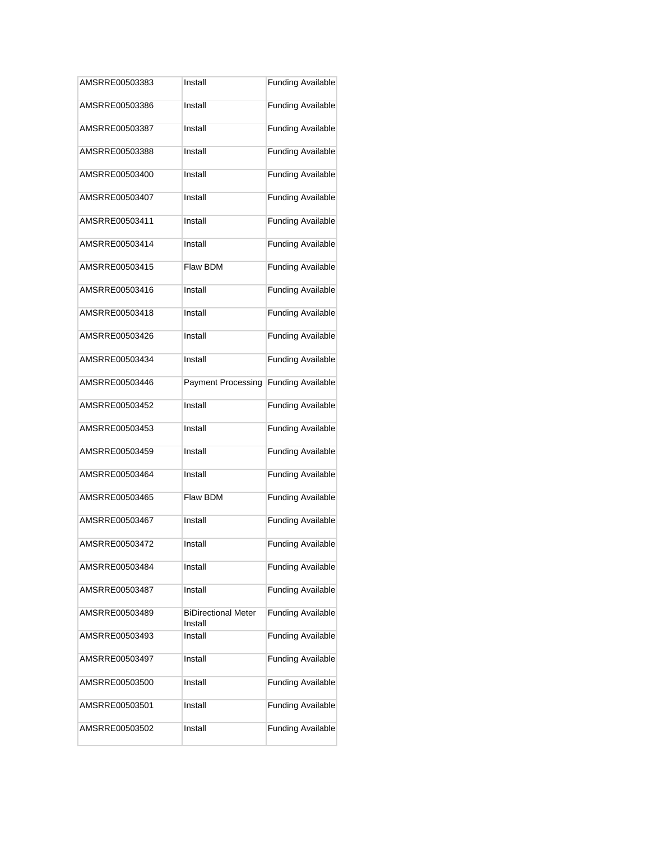| AMSRRE00503383 | Install                               | <b>Funding Available</b> |
|----------------|---------------------------------------|--------------------------|
| AMSRRE00503386 | Install                               | <b>Funding Available</b> |
| AMSRRE00503387 | Install                               | <b>Funding Available</b> |
| AMSRRE00503388 | Install                               | <b>Funding Available</b> |
| AMSRRE00503400 | Install                               | <b>Funding Available</b> |
| AMSRRE00503407 | Install                               | <b>Funding Available</b> |
| AMSRRE00503411 | Install                               | <b>Funding Available</b> |
| AMSRRE00503414 | Install                               | <b>Funding Available</b> |
| AMSRRE00503415 | Flaw BDM                              | <b>Funding Available</b> |
| AMSRRE00503416 | Install                               | <b>Funding Available</b> |
| AMSRRE00503418 | Install                               | <b>Funding Available</b> |
| AMSRRE00503426 | Install                               | <b>Funding Available</b> |
| AMSRRE00503434 | Install                               | <b>Funding Available</b> |
| AMSRRE00503446 | <b>Payment Processing</b>             | <b>Funding Available</b> |
| AMSRRE00503452 | Install                               | <b>Funding Available</b> |
| AMSRRE00503453 | Install                               | <b>Funding Available</b> |
| AMSRRE00503459 | Install                               | <b>Funding Available</b> |
| AMSRRE00503464 | Install                               | <b>Funding Available</b> |
| AMSRRE00503465 | Flaw BDM                              | <b>Funding Available</b> |
| AMSRRE00503467 | Install                               | <b>Funding Available</b> |
| AMSRRE00503472 | Install                               | <b>Funding Available</b> |
| AMSRRE00503484 | Install                               | <b>Funding Available</b> |
| AMSRRE00503487 | Install                               | <b>Funding Available</b> |
| AMSRRE00503489 | <b>BiDirectional Meter</b><br>Install | <b>Funding Available</b> |
| AMSRRE00503493 | Install                               | <b>Funding Available</b> |
| AMSRRE00503497 | Install                               | <b>Funding Available</b> |
| AMSRRE00503500 | Install                               | <b>Funding Available</b> |
| AMSRRE00503501 | Install                               | <b>Funding Available</b> |
| AMSRRE00503502 | Install                               | <b>Funding Available</b> |
|                |                                       |                          |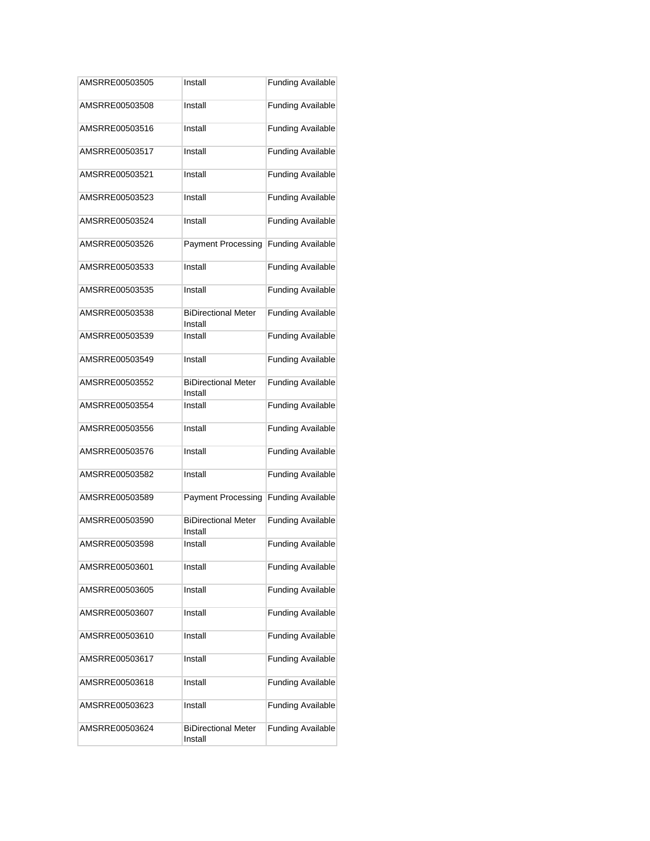| Install<br>Install<br>Install<br>Install<br>Install<br>Install<br><b>Payment Processing</b><br>Install<br>Install<br><b>BiDirectional Meter</b><br>Install<br>Install<br>Install<br><b>BiDirectional Meter</b><br>Install<br>Install<br>Install<br>Install<br>Install<br><b>Payment Processing</b><br><b>BiDirectional Meter</b><br>Install<br><b>Funding Available</b><br>Install<br>Install<br>Install<br>Install<br>Install<br>Install<br>Install<br>Install<br><b>BiDirectional Meter</b><br>Install | AMSRRE00503505 | Install | <b>Funding Available</b> |
|----------------------------------------------------------------------------------------------------------------------------------------------------------------------------------------------------------------------------------------------------------------------------------------------------------------------------------------------------------------------------------------------------------------------------------------------------------------------------------------------------------|----------------|---------|--------------------------|
|                                                                                                                                                                                                                                                                                                                                                                                                                                                                                                          | AMSRRE00503508 |         | <b>Funding Available</b> |
|                                                                                                                                                                                                                                                                                                                                                                                                                                                                                                          | AMSRRE00503516 |         | <b>Funding Available</b> |
|                                                                                                                                                                                                                                                                                                                                                                                                                                                                                                          | AMSRRE00503517 |         | <b>Funding Available</b> |
|                                                                                                                                                                                                                                                                                                                                                                                                                                                                                                          | AMSRRE00503521 |         | <b>Funding Available</b> |
|                                                                                                                                                                                                                                                                                                                                                                                                                                                                                                          | AMSRRE00503523 |         | <b>Funding Available</b> |
|                                                                                                                                                                                                                                                                                                                                                                                                                                                                                                          | AMSRRE00503524 |         | <b>Funding Available</b> |
|                                                                                                                                                                                                                                                                                                                                                                                                                                                                                                          | AMSRRE00503526 |         | <b>Funding Available</b> |
|                                                                                                                                                                                                                                                                                                                                                                                                                                                                                                          | AMSRRE00503533 |         | <b>Funding Available</b> |
|                                                                                                                                                                                                                                                                                                                                                                                                                                                                                                          | AMSRRE00503535 |         | <b>Funding Available</b> |
|                                                                                                                                                                                                                                                                                                                                                                                                                                                                                                          | AMSRRE00503538 |         | <b>Funding Available</b> |
|                                                                                                                                                                                                                                                                                                                                                                                                                                                                                                          | AMSRRE00503539 |         | <b>Funding Available</b> |
|                                                                                                                                                                                                                                                                                                                                                                                                                                                                                                          | AMSRRE00503549 |         | <b>Funding Available</b> |
|                                                                                                                                                                                                                                                                                                                                                                                                                                                                                                          | AMSRRE00503552 |         | <b>Funding Available</b> |
|                                                                                                                                                                                                                                                                                                                                                                                                                                                                                                          | AMSRRE00503554 |         | <b>Funding Available</b> |
|                                                                                                                                                                                                                                                                                                                                                                                                                                                                                                          | AMSRRE00503556 |         | <b>Funding Available</b> |
|                                                                                                                                                                                                                                                                                                                                                                                                                                                                                                          | AMSRRE00503576 |         | <b>Funding Available</b> |
|                                                                                                                                                                                                                                                                                                                                                                                                                                                                                                          | AMSRRE00503582 |         | <b>Funding Available</b> |
|                                                                                                                                                                                                                                                                                                                                                                                                                                                                                                          | AMSRRE00503589 |         | <b>Funding Available</b> |
|                                                                                                                                                                                                                                                                                                                                                                                                                                                                                                          | AMSRRE00503590 |         | <b>Funding Available</b> |
|                                                                                                                                                                                                                                                                                                                                                                                                                                                                                                          | AMSRRE00503598 |         |                          |
|                                                                                                                                                                                                                                                                                                                                                                                                                                                                                                          | AMSRRE00503601 |         | <b>Funding Available</b> |
|                                                                                                                                                                                                                                                                                                                                                                                                                                                                                                          | AMSRRE00503605 |         | <b>Funding Available</b> |
|                                                                                                                                                                                                                                                                                                                                                                                                                                                                                                          | AMSRRE00503607 |         | <b>Funding Available</b> |
|                                                                                                                                                                                                                                                                                                                                                                                                                                                                                                          | AMSRRE00503610 |         | <b>Funding Available</b> |
|                                                                                                                                                                                                                                                                                                                                                                                                                                                                                                          | AMSRRE00503617 |         | <b>Funding Available</b> |
|                                                                                                                                                                                                                                                                                                                                                                                                                                                                                                          | AMSRRE00503618 |         | <b>Funding Available</b> |
|                                                                                                                                                                                                                                                                                                                                                                                                                                                                                                          | AMSRRE00503623 |         | <b>Funding Available</b> |
|                                                                                                                                                                                                                                                                                                                                                                                                                                                                                                          | AMSRRE00503624 |         | <b>Funding Available</b> |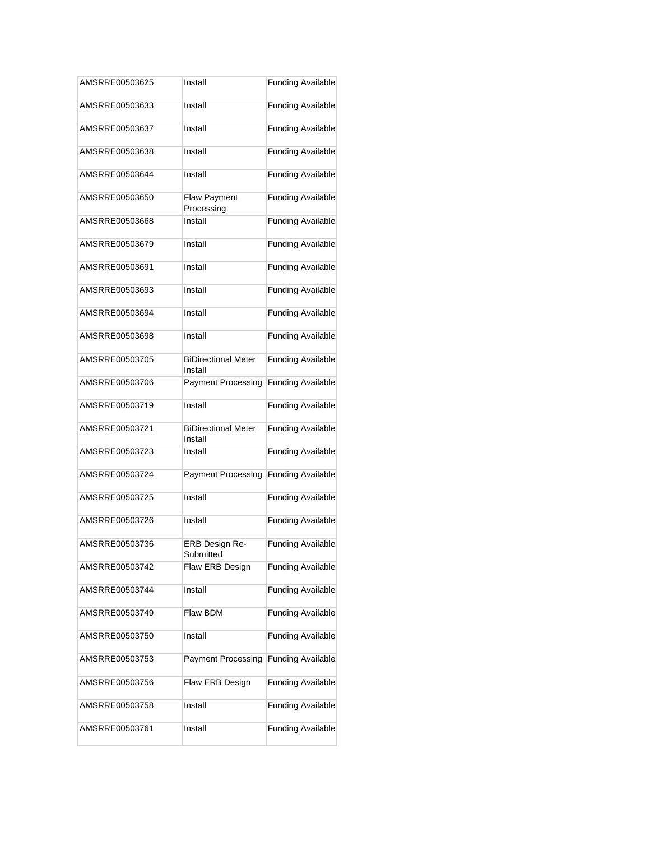| AMSRRE00503625 | Install                               | <b>Funding Available</b> |
|----------------|---------------------------------------|--------------------------|
| AMSRRE00503633 | Install                               | <b>Funding Available</b> |
| AMSRRE00503637 | Install                               | <b>Funding Available</b> |
| AMSRRE00503638 | Install                               | <b>Funding Available</b> |
| AMSRRE00503644 | Install                               | <b>Funding Available</b> |
| AMSRRE00503650 | <b>Flaw Payment</b><br>Processing     | <b>Funding Available</b> |
| AMSRRE00503668 | Install                               | <b>Funding Available</b> |
| AMSRRE00503679 | Install                               | <b>Funding Available</b> |
| AMSRRE00503691 | Install                               | <b>Funding Available</b> |
| AMSRRE00503693 | Install                               | <b>Funding Available</b> |
| AMSRRE00503694 | Install                               | <b>Funding Available</b> |
| AMSRRE00503698 | Install                               | <b>Funding Available</b> |
| AMSRRE00503705 | <b>BiDirectional Meter</b><br>Install | <b>Funding Available</b> |
| AMSRRE00503706 | <b>Payment Processing</b>             | <b>Funding Available</b> |
| AMSRRE00503719 | Install                               | <b>Funding Available</b> |
| AMSRRE00503721 | <b>BiDirectional Meter</b><br>Install | <b>Funding Available</b> |
| AMSRRE00503723 | Install                               | <b>Funding Available</b> |
| AMSRRE00503724 | <b>Payment Processing</b>             | <b>Funding Available</b> |
| AMSRRE00503725 | Install                               | <b>Funding Available</b> |
| AMSRRE00503726 | Install                               | <b>Funding Available</b> |
| AMSRRE00503736 | ERB Design Re-<br>Submitted           | <b>Funding Available</b> |
| AMSRRE00503742 | Flaw ERB Design                       | <b>Funding Available</b> |
| AMSRRE00503744 | Install                               | <b>Funding Available</b> |
| AMSRRE00503749 | Flaw BDM                              | <b>Funding Available</b> |
| AMSRRE00503750 | Install                               | <b>Funding Available</b> |
| AMSRRE00503753 | <b>Payment Processing</b>             | <b>Funding Available</b> |
| AMSRRE00503756 | Flaw ERB Design                       | <b>Funding Available</b> |
| AMSRRE00503758 | Install                               | <b>Funding Available</b> |
| AMSRRE00503761 | Install                               | <b>Funding Available</b> |
|                |                                       |                          |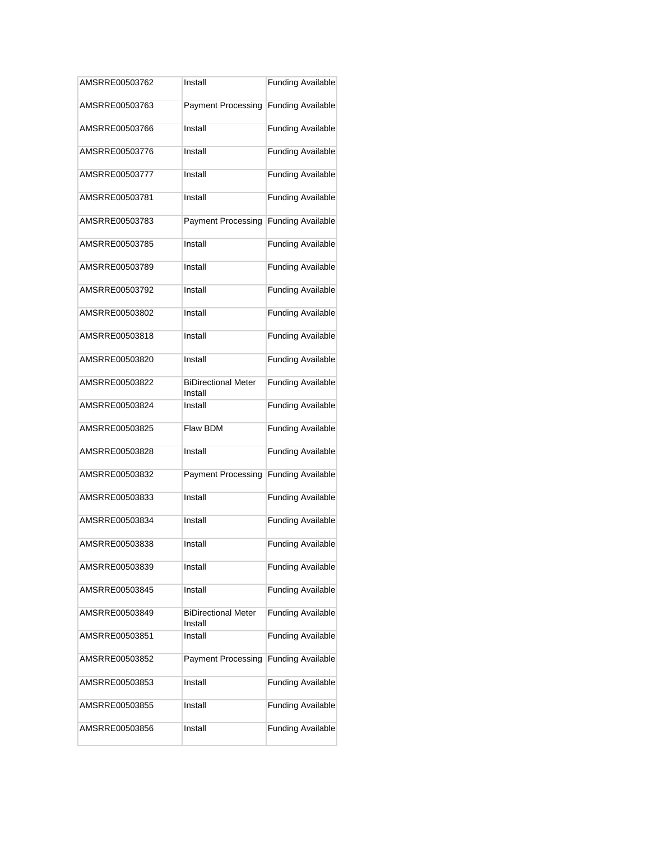| AMSRRE00503762 | Install                               | <b>Funding Available</b> |
|----------------|---------------------------------------|--------------------------|
| AMSRRE00503763 | <b>Payment Processing</b>             | <b>Funding Available</b> |
| AMSRRE00503766 | Install                               | <b>Funding Available</b> |
| AMSRRE00503776 | Install                               | <b>Funding Available</b> |
| AMSRRE00503777 | Install                               | <b>Funding Available</b> |
| AMSRRE00503781 | Install                               | <b>Funding Available</b> |
| AMSRRE00503783 | <b>Payment Processing</b>             | <b>Funding Available</b> |
| AMSRRE00503785 | Install                               | <b>Funding Available</b> |
| AMSRRE00503789 | Install                               | <b>Funding Available</b> |
| AMSRRE00503792 | Install                               | <b>Funding Available</b> |
| AMSRRE00503802 | Install                               | <b>Funding Available</b> |
| AMSRRE00503818 | Install                               | <b>Funding Available</b> |
| AMSRRE00503820 | Install                               | <b>Funding Available</b> |
| AMSRRE00503822 | <b>BiDirectional Meter</b><br>Install | <b>Funding Available</b> |
| AMSRRE00503824 | Install                               | <b>Funding Available</b> |
| AMSRRE00503825 | Flaw BDM                              | <b>Funding Available</b> |
| AMSRRE00503828 | Install                               | <b>Funding Available</b> |
| AMSRRE00503832 | <b>Payment Processing</b>             | <b>Funding Available</b> |
| AMSRRE00503833 | Install                               | <b>Funding Available</b> |
| AMSRRE00503834 | Install                               | <b>Funding Available</b> |
| AMSRRE00503838 | Install                               | <b>Funding Available</b> |
| AMSRRE00503839 | Install                               | <b>Funding Available</b> |
| AMSRRE00503845 | Install                               | <b>Funding Available</b> |
| AMSRRE00503849 | <b>BiDirectional Meter</b><br>Install | <b>Funding Available</b> |
| AMSRRE00503851 | Install                               | <b>Funding Available</b> |
| AMSRRE00503852 | <b>Payment Processing</b>             | <b>Funding Available</b> |
| AMSRRE00503853 | Install                               | <b>Funding Available</b> |
| AMSRRE00503855 | Install                               | <b>Funding Available</b> |
| AMSRRE00503856 | Install                               | <b>Funding Available</b> |
|                |                                       |                          |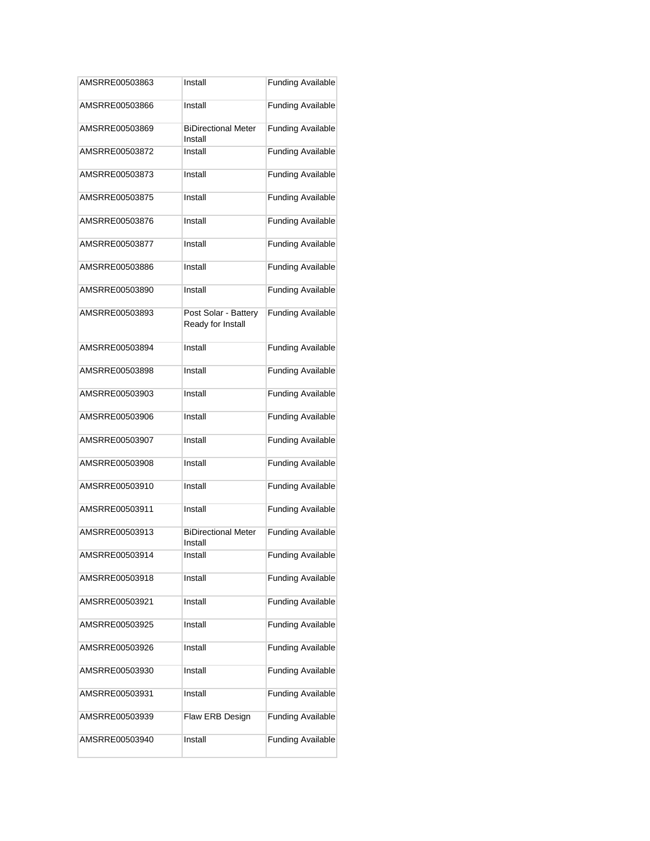| AMSRRE00503863 | Install                                   | <b>Funding Available</b> |
|----------------|-------------------------------------------|--------------------------|
| AMSRRE00503866 | Install                                   | <b>Funding Available</b> |
| AMSRRE00503869 | <b>BiDirectional Meter</b><br>Install     | <b>Funding Available</b> |
| AMSRRE00503872 | Install                                   | <b>Funding Available</b> |
| AMSRRE00503873 | Install                                   | <b>Funding Available</b> |
| AMSRRE00503875 | Install                                   | <b>Funding Available</b> |
| AMSRRE00503876 | Install                                   | <b>Funding Available</b> |
| AMSRRE00503877 | Install                                   | <b>Funding Available</b> |
| AMSRRE00503886 | Install                                   | <b>Funding Available</b> |
| AMSRRE00503890 | Install                                   | <b>Funding Available</b> |
| AMSRRE00503893 | Post Solar - Battery<br>Ready for Install | <b>Funding Available</b> |
| AMSRRE00503894 | Install                                   | <b>Funding Available</b> |
| AMSRRE00503898 | Install                                   | <b>Funding Available</b> |
| AMSRRE00503903 | Install                                   | <b>Funding Available</b> |
| AMSRRE00503906 | Install                                   | <b>Funding Available</b> |
| AMSRRE00503907 | Install                                   | <b>Funding Available</b> |
| AMSRRE00503908 | Install                                   | <b>Funding Available</b> |
| AMSRRE00503910 | Install                                   | <b>Funding Available</b> |
| AMSRRE00503911 | Install                                   | <b>Funding Available</b> |
| AMSRRE00503913 | <b>BiDirectional Meter</b><br>Install     | <b>Funding Available</b> |
| AMSRRE00503914 | Install                                   | <b>Funding Available</b> |
| AMSRRE00503918 | Install                                   | <b>Funding Available</b> |
| AMSRRE00503921 | Install                                   | <b>Funding Available</b> |
| AMSRRE00503925 | Install                                   | <b>Funding Available</b> |
| AMSRRE00503926 | Install                                   | <b>Funding Available</b> |
| AMSRRE00503930 | Install                                   | <b>Funding Available</b> |
| AMSRRE00503931 | Install                                   | <b>Funding Available</b> |
| AMSRRE00503939 | Flaw ERB Design                           | <b>Funding Available</b> |
| AMSRRE00503940 | Install                                   | <b>Funding Available</b> |
|                |                                           |                          |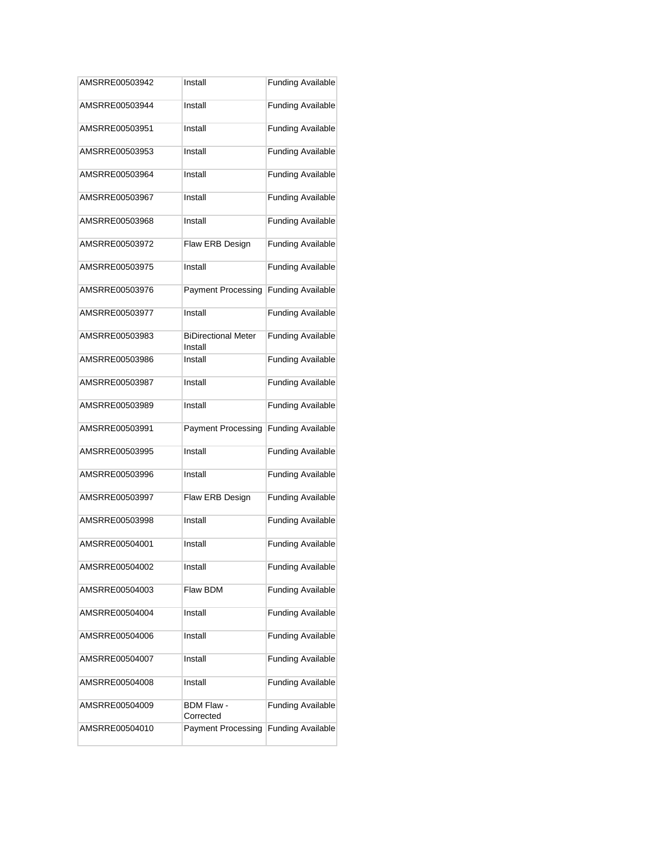| AMSRRE00503942 | Install                               | <b>Funding Available</b> |
|----------------|---------------------------------------|--------------------------|
| AMSRRE00503944 | Install                               | <b>Funding Available</b> |
| AMSRRE00503951 | Install                               | <b>Funding Available</b> |
| AMSRRE00503953 | Install                               | <b>Funding Available</b> |
| AMSRRE00503964 | Install                               | <b>Funding Available</b> |
| AMSRRE00503967 | Install                               | <b>Funding Available</b> |
| AMSRRE00503968 | Install                               | <b>Funding Available</b> |
| AMSRRE00503972 | Flaw ERB Design                       | <b>Funding Available</b> |
| AMSRRE00503975 | Install                               | <b>Funding Available</b> |
| AMSRRE00503976 | Payment Processing                    | <b>Funding Available</b> |
| AMSRRE00503977 | Install                               | <b>Funding Available</b> |
| AMSRRE00503983 | <b>BiDirectional Meter</b><br>Install | <b>Funding Available</b> |
| AMSRRE00503986 | Install                               | <b>Funding Available</b> |
| AMSRRE00503987 | Install                               | <b>Funding Available</b> |
| AMSRRE00503989 | Install                               | <b>Funding Available</b> |
| AMSRRE00503991 | <b>Payment Processing</b>             | <b>Funding Available</b> |
| AMSRRE00503995 | Install                               | <b>Funding Available</b> |
| AMSRRE00503996 | Install                               | <b>Funding Available</b> |
| AMSRRE00503997 | Flaw ERB Design                       | <b>Funding Available</b> |
| AMSRRE00503998 | Install                               | <b>Funding Available</b> |
| AMSRRE00504001 | Install                               | <b>Funding Available</b> |
| AMSRRE00504002 | Install                               | <b>Funding Available</b> |
| AMSRRE00504003 | Flaw BDM                              | <b>Funding Available</b> |
| AMSRRE00504004 | Install                               | <b>Funding Available</b> |
| AMSRRE00504006 | Install                               | <b>Funding Available</b> |
| AMSRRE00504007 | Install                               | <b>Funding Available</b> |
| AMSRRE00504008 | Install                               | <b>Funding Available</b> |
| AMSRRE00504009 | BDM Flaw -<br>Corrected               | <b>Funding Available</b> |
| AMSRRE00504010 | <b>Payment Processing</b>             | <b>Funding Available</b> |
|                |                                       |                          |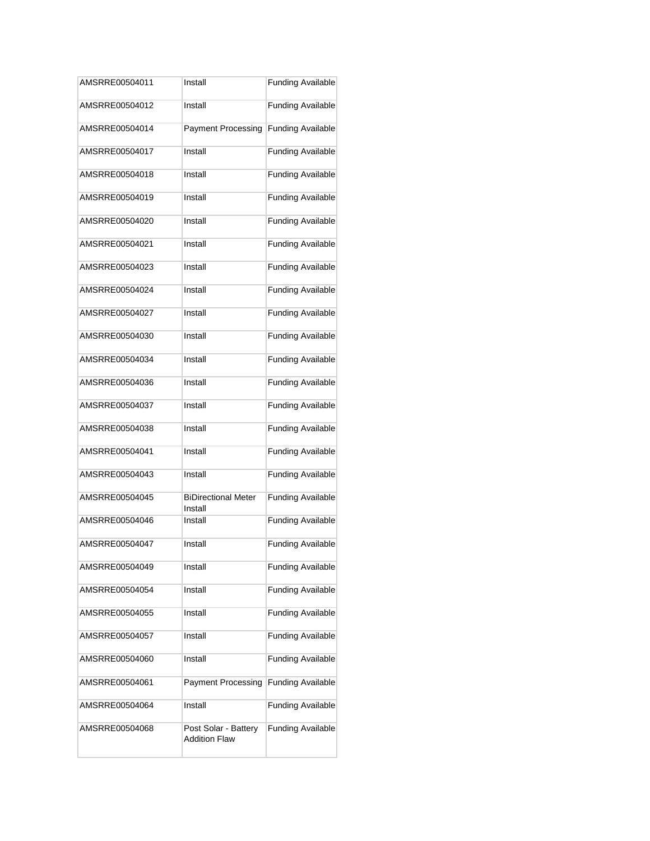| AMSRRE00504011 | Install                                      | <b>Funding Available</b> |
|----------------|----------------------------------------------|--------------------------|
| AMSRRE00504012 | Install                                      | <b>Funding Available</b> |
| AMSRRE00504014 | <b>Payment Processing</b>                    | <b>Funding Available</b> |
| AMSRRE00504017 | Install                                      | <b>Funding Available</b> |
| AMSRRE00504018 | Install                                      | <b>Funding Available</b> |
| AMSRRE00504019 | Install                                      | <b>Funding Available</b> |
| AMSRRE00504020 | Install                                      | <b>Funding Available</b> |
| AMSRRE00504021 | Install                                      | <b>Funding Available</b> |
| AMSRRE00504023 | Install                                      | <b>Funding Available</b> |
| AMSRRE00504024 | Install                                      | <b>Funding Available</b> |
| AMSRRE00504027 | Install                                      | <b>Funding Available</b> |
| AMSRRE00504030 | Install                                      | <b>Funding Available</b> |
| AMSRRE00504034 | Install                                      | <b>Funding Available</b> |
| AMSRRE00504036 | Install                                      | <b>Funding Available</b> |
| AMSRRE00504037 | Install                                      | <b>Funding Available</b> |
| AMSRRE00504038 | Install                                      | <b>Funding Available</b> |
| AMSRRE00504041 | Install                                      | <b>Funding Available</b> |
| AMSRRE00504043 | Install                                      | <b>Funding Available</b> |
| AMSRRE00504045 | <b>BiDirectional Meter</b><br>Install        | <b>Funding Available</b> |
| AMSRRE00504046 | Install                                      | <b>Funding Available</b> |
| AMSRRE00504047 | Install                                      | <b>Funding Available</b> |
| AMSRRE00504049 | Install                                      | <b>Funding Available</b> |
| AMSRRE00504054 | Install                                      | <b>Funding Available</b> |
| AMSRRE00504055 | Install                                      | <b>Funding Available</b> |
| AMSRRE00504057 | Install                                      | <b>Funding Available</b> |
| AMSRRE00504060 | Install                                      | <b>Funding Available</b> |
| AMSRRE00504061 | <b>Payment Processing</b>                    | <b>Funding Available</b> |
| AMSRRE00504064 | Install                                      | <b>Funding Available</b> |
| AMSRRE00504068 | Post Solar - Battery<br><b>Addition Flaw</b> | <b>Funding Available</b> |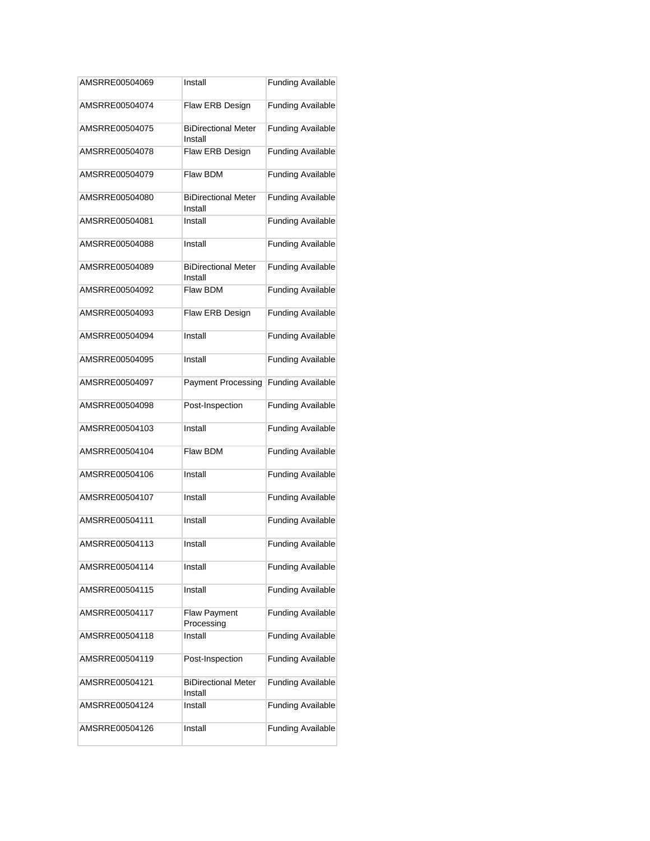| AMSRRE00504069 | Install                               | <b>Funding Available</b> |
|----------------|---------------------------------------|--------------------------|
| AMSRRE00504074 | Flaw ERB Design                       | <b>Funding Available</b> |
| AMSRRE00504075 | <b>BiDirectional Meter</b><br>Install | <b>Funding Available</b> |
| AMSRRE00504078 | Flaw ERB Design                       | <b>Funding Available</b> |
| AMSRRE00504079 | Flaw BDM                              | <b>Funding Available</b> |
| AMSRRE00504080 | <b>BiDirectional Meter</b><br>Install | <b>Funding Available</b> |
| AMSRRE00504081 | Install                               | <b>Funding Available</b> |
| AMSRRE00504088 | Install                               | <b>Funding Available</b> |
| AMSRRE00504089 | <b>BiDirectional Meter</b><br>Install | <b>Funding Available</b> |
| AMSRRE00504092 | Flaw BDM                              | <b>Funding Available</b> |
| AMSRRE00504093 | Flaw ERB Design                       | <b>Funding Available</b> |
| AMSRRE00504094 | Install                               | <b>Funding Available</b> |
| AMSRRE00504095 | Install                               | <b>Funding Available</b> |
| AMSRRE00504097 | <b>Payment Processing</b>             | <b>Funding Available</b> |
| AMSRRE00504098 | Post-Inspection                       | <b>Funding Available</b> |
| AMSRRE00504103 | Install                               | <b>Funding Available</b> |
| AMSRRE00504104 | Flaw BDM                              | <b>Funding Available</b> |
| AMSRRE00504106 | Install                               | <b>Funding Available</b> |
| AMSRRE00504107 | Install                               | <b>Funding Available</b> |
| AMSRRE00504111 | Install                               | <b>Funding Available</b> |
| AMSRRE00504113 | Install                               | <b>Funding Available</b> |
| AMSRRE00504114 | Install                               | <b>Funding Available</b> |
| AMSRRE00504115 | Install                               | <b>Funding Available</b> |
| AMSRRE00504117 | <b>Flaw Payment</b><br>Processing     | <b>Funding Available</b> |
| AMSRRE00504118 | Install                               | <b>Funding Available</b> |
| AMSRRE00504119 | Post-Inspection                       | <b>Funding Available</b> |
| AMSRRE00504121 | <b>BiDirectional Meter</b><br>Install | <b>Funding Available</b> |
| AMSRRE00504124 | Install                               | <b>Funding Available</b> |
| AMSRRE00504126 | Install                               | <b>Funding Available</b> |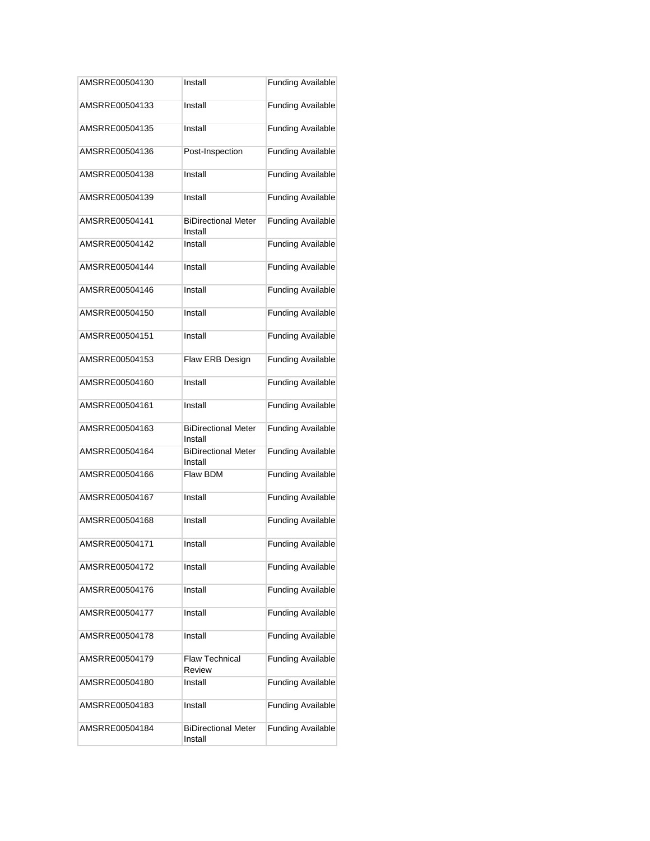| AMSRRE00504130 | Install                               | <b>Funding Available</b> |
|----------------|---------------------------------------|--------------------------|
| AMSRRE00504133 | Install                               | <b>Funding Available</b> |
| AMSRRE00504135 | Install                               | <b>Funding Available</b> |
| AMSRRE00504136 | Post-Inspection                       | <b>Funding Available</b> |
| AMSRRE00504138 | Install                               | <b>Funding Available</b> |
| AMSRRE00504139 | Install                               | <b>Funding Available</b> |
| AMSRRE00504141 | <b>BiDirectional Meter</b><br>Install | <b>Funding Available</b> |
| AMSRRE00504142 | Install                               | <b>Funding Available</b> |
| AMSRRE00504144 | Install                               | <b>Funding Available</b> |
| AMSRRE00504146 | Install                               | <b>Funding Available</b> |
| AMSRRE00504150 | Install                               | <b>Funding Available</b> |
| AMSRRE00504151 | Install                               | <b>Funding Available</b> |
| AMSRRE00504153 | Flaw ERB Design                       | <b>Funding Available</b> |
| AMSRRE00504160 | Install                               | <b>Funding Available</b> |
| AMSRRE00504161 | Install                               | <b>Funding Available</b> |
| AMSRRE00504163 | <b>BiDirectional Meter</b><br>Install | <b>Funding Available</b> |
| AMSRRE00504164 | <b>BiDirectional Meter</b><br>Install | <b>Funding Available</b> |
| AMSRRE00504166 | Flaw BDM                              | <b>Funding Available</b> |
| AMSRRE00504167 | Install                               | <b>Funding Available</b> |
| AMSRRE00504168 | Install                               | <b>Funding Available</b> |
| AMSRRE00504171 | Install                               | <b>Funding Available</b> |
| AMSRRE00504172 | Install                               | <b>Funding Available</b> |
| AMSRRE00504176 | Install                               | <b>Funding Available</b> |
| AMSRRE00504177 | Install                               | <b>Funding Available</b> |
| AMSRRE00504178 | Install                               | <b>Funding Available</b> |
| AMSRRE00504179 | <b>Flaw Technical</b><br>Review       | <b>Funding Available</b> |
| AMSRRE00504180 | Install                               | <b>Funding Available</b> |
| AMSRRE00504183 | Install                               | <b>Funding Available</b> |
| AMSRRE00504184 | <b>BiDirectional Meter</b><br>Install | <b>Funding Available</b> |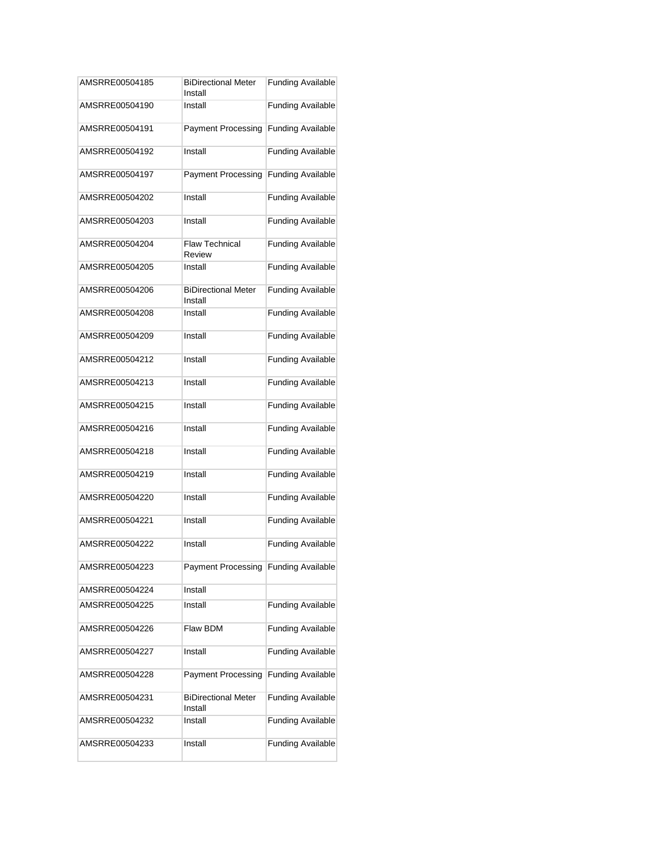| AMSRRE00504185 | <b>BiDirectional Meter</b><br>Install | <b>Funding Available</b> |
|----------------|---------------------------------------|--------------------------|
| AMSRRE00504190 | Install                               | <b>Funding Available</b> |
| AMSRRE00504191 | <b>Payment Processing</b>             | <b>Funding Available</b> |
| AMSRRE00504192 | Install                               | <b>Funding Available</b> |
| AMSRRE00504197 | <b>Payment Processing</b>             | <b>Funding Available</b> |
| AMSRRE00504202 | Install                               | <b>Funding Available</b> |
| AMSRRE00504203 | Install                               | <b>Funding Available</b> |
| AMSRRE00504204 | <b>Flaw Technical</b><br>Review       | <b>Funding Available</b> |
| AMSRRE00504205 | Install                               | <b>Funding Available</b> |
| AMSRRE00504206 | <b>BiDirectional Meter</b><br>Install | <b>Funding Available</b> |
| AMSRRE00504208 | Install                               | <b>Funding Available</b> |
| AMSRRE00504209 | Install                               | <b>Funding Available</b> |
| AMSRRE00504212 | Install                               | <b>Funding Available</b> |
| AMSRRE00504213 | Install                               | <b>Funding Available</b> |
| AMSRRE00504215 | Install                               | <b>Funding Available</b> |
| AMSRRE00504216 | Install                               | <b>Funding Available</b> |
| AMSRRE00504218 | Install                               | <b>Funding Available</b> |
| AMSRRE00504219 | Install                               | <b>Funding Available</b> |
| AMSRRE00504220 | Install                               | <b>Funding Available</b> |
| AMSRRE00504221 | Install                               | <b>Funding Available</b> |
| AMSRRE00504222 | Install                               | <b>Funding Available</b> |
| AMSRRE00504223 | Payment Processing Funding Available  |                          |
| AMSRRE00504224 | Install                               |                          |
| AMSRRE00504225 | Install                               | <b>Funding Available</b> |
| AMSRRE00504226 | Flaw BDM                              | <b>Funding Available</b> |
| AMSRRE00504227 | Install                               | <b>Funding Available</b> |
| AMSRRE00504228 | <b>Payment Processing</b>             | <b>Funding Available</b> |
| AMSRRE00504231 | <b>BiDirectional Meter</b><br>Install | <b>Funding Available</b> |
| AMSRRE00504232 | Install                               | <b>Funding Available</b> |
| AMSRRE00504233 | Install                               | <b>Funding Available</b> |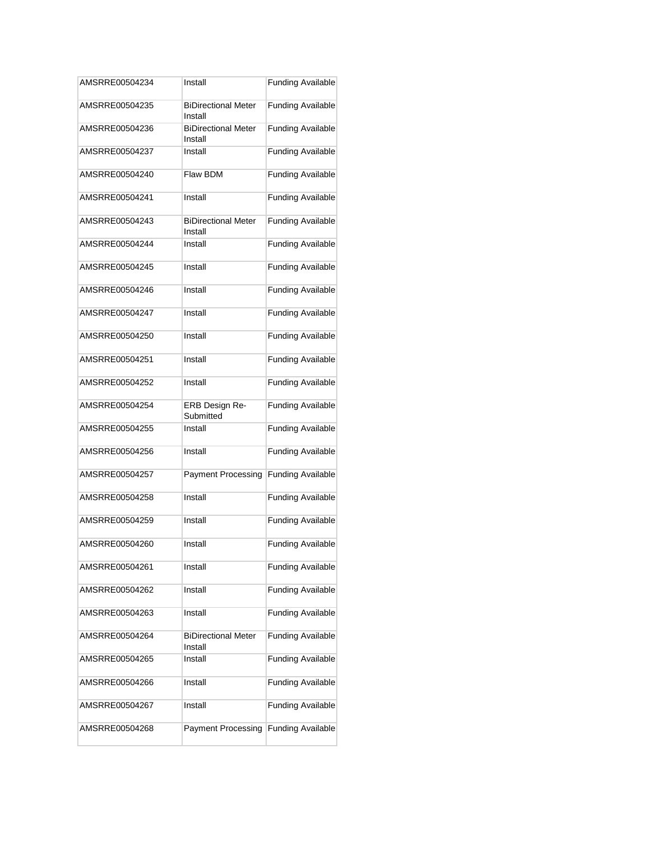| AMSRRE00504234 | Install                               | <b>Funding Available</b> |
|----------------|---------------------------------------|--------------------------|
| AMSRRE00504235 | <b>BiDirectional Meter</b><br>Install | <b>Funding Available</b> |
| AMSRRE00504236 | <b>BiDirectional Meter</b><br>Install | <b>Funding Available</b> |
| AMSRRE00504237 | Install                               | <b>Funding Available</b> |
| AMSRRE00504240 | Flaw BDM                              | <b>Funding Available</b> |
| AMSRRE00504241 | Install                               | <b>Funding Available</b> |
| AMSRRE00504243 | <b>BiDirectional Meter</b><br>Install | <b>Funding Available</b> |
| AMSRRE00504244 | Install                               | <b>Funding Available</b> |
| AMSRRE00504245 | Install                               | <b>Funding Available</b> |
| AMSRRE00504246 | Install                               | <b>Funding Available</b> |
| AMSRRE00504247 | Install                               | <b>Funding Available</b> |
| AMSRRE00504250 | Install                               | <b>Funding Available</b> |
| AMSRRE00504251 | Install                               | <b>Funding Available</b> |
| AMSRRE00504252 | Install                               | <b>Funding Available</b> |
| AMSRRE00504254 | ERB Design Re-<br>Submitted           | <b>Funding Available</b> |
| AMSRRE00504255 | Install                               | <b>Funding Available</b> |
| AMSRRE00504256 | Install                               | <b>Funding Available</b> |
| AMSRRE00504257 | <b>Payment Processing</b>             | <b>Funding Available</b> |
| AMSRRE00504258 | Install                               | <b>Funding Available</b> |
| AMSRRE00504259 | Install                               | <b>Funding Available</b> |
| AMSRRE00504260 | Install                               | <b>Funding Available</b> |
| AMSRRE00504261 | Install                               | <b>Funding Available</b> |
| AMSRRE00504262 | Install                               | <b>Funding Available</b> |
| AMSRRE00504263 | Install                               | <b>Funding Available</b> |
| AMSRRE00504264 | <b>BiDirectional Meter</b><br>Install | <b>Funding Available</b> |
| AMSRRE00504265 | Install                               | <b>Funding Available</b> |
| AMSRRE00504266 | Install                               | <b>Funding Available</b> |
| AMSRRE00504267 | Install                               | <b>Funding Available</b> |
| AMSRRE00504268 | <b>Payment Processing</b>             | <b>Funding Available</b> |
|                |                                       |                          |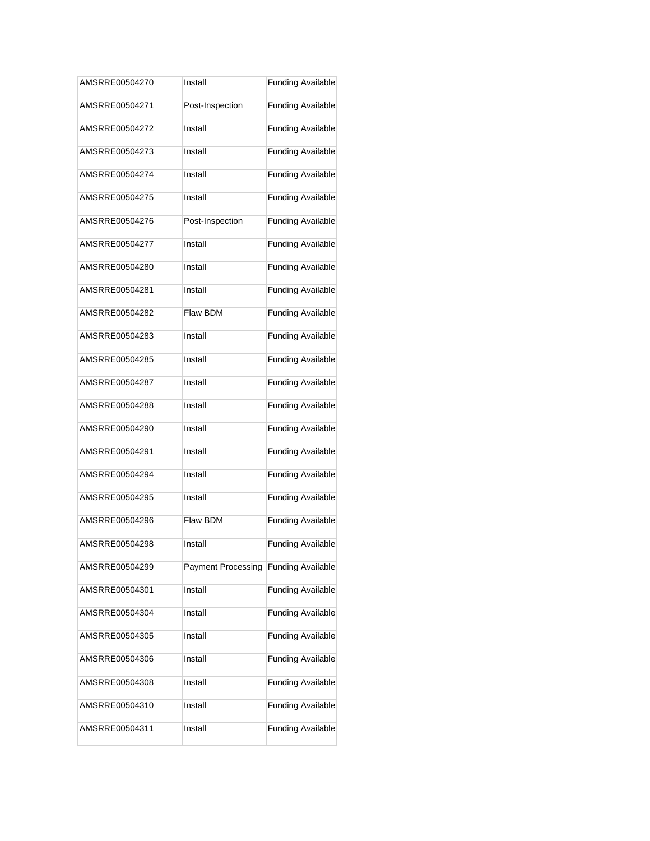| AMSRRE00504270 | Install                   | <b>Funding Available</b> |
|----------------|---------------------------|--------------------------|
| AMSRRE00504271 | Post-Inspection           | <b>Funding Available</b> |
| AMSRRE00504272 | Install                   | <b>Funding Available</b> |
| AMSRRE00504273 | Install                   | <b>Funding Available</b> |
| AMSRRE00504274 | Install                   | <b>Funding Available</b> |
| AMSRRE00504275 | Install                   | <b>Funding Available</b> |
| AMSRRE00504276 | Post-Inspection           | <b>Funding Available</b> |
| AMSRRE00504277 | Install                   | <b>Funding Available</b> |
| AMSRRE00504280 | Install                   | <b>Funding Available</b> |
| AMSRRE00504281 | Install                   | <b>Funding Available</b> |
| AMSRRE00504282 | Flaw BDM                  | <b>Funding Available</b> |
| AMSRRE00504283 | Install                   | <b>Funding Available</b> |
| AMSRRE00504285 | Install                   | <b>Funding Available</b> |
| AMSRRE00504287 | Install                   | <b>Funding Available</b> |
| AMSRRE00504288 | Install                   | <b>Funding Available</b> |
| AMSRRE00504290 | Install                   | <b>Funding Available</b> |
| AMSRRE00504291 | Install                   | <b>Funding Available</b> |
| AMSRRE00504294 | Install                   | <b>Funding Available</b> |
| AMSRRE00504295 | Install                   | <b>Funding Available</b> |
| AMSRRE00504296 | Flaw BDM                  | <b>Funding Available</b> |
| AMSRRE00504298 | Install                   | <b>Funding Available</b> |
| AMSRRE00504299 | <b>Payment Processing</b> | <b>Funding Available</b> |
| AMSRRE00504301 | Install                   | <b>Funding Available</b> |
| AMSRRE00504304 | Install                   | <b>Funding Available</b> |
| AMSRRE00504305 | Install                   | <b>Funding Available</b> |
| AMSRRE00504306 | Install                   | <b>Funding Available</b> |
| AMSRRE00504308 | Install                   | <b>Funding Available</b> |
| AMSRRE00504310 | Install                   | <b>Funding Available</b> |
| AMSRRE00504311 | Install                   | <b>Funding Available</b> |
|                |                           |                          |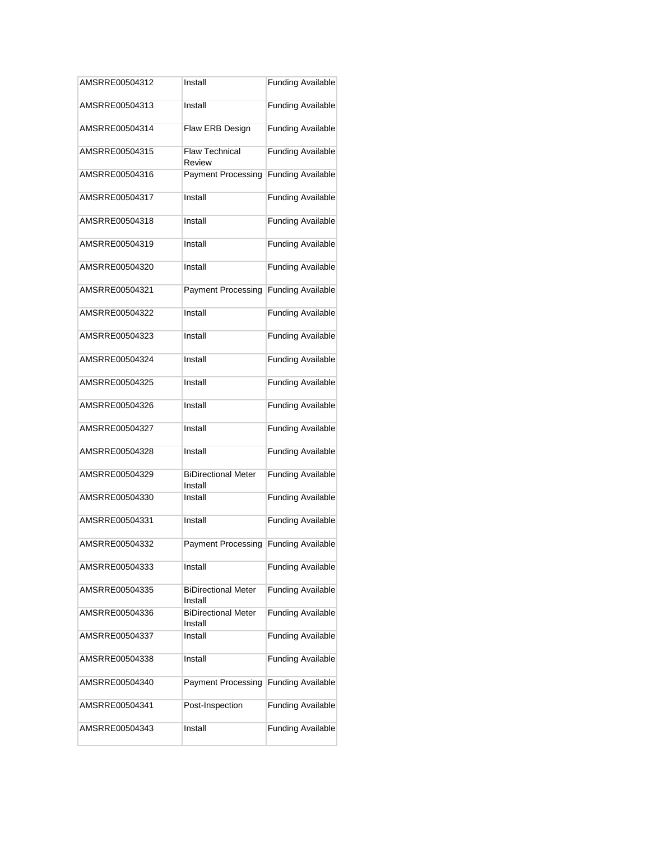| AMSRRE00504312 | Install                               | <b>Funding Available</b> |
|----------------|---------------------------------------|--------------------------|
| AMSRRE00504313 | Install                               | <b>Funding Available</b> |
| AMSRRE00504314 | Flaw ERB Design                       | <b>Funding Available</b> |
| AMSRRE00504315 | <b>Flaw Technical</b><br>Review       | <b>Funding Available</b> |
| AMSRRE00504316 | <b>Payment Processing</b>             | <b>Funding Available</b> |
| AMSRRE00504317 | Install                               | <b>Funding Available</b> |
| AMSRRE00504318 | Install                               | <b>Funding Available</b> |
| AMSRRE00504319 | Install                               | <b>Funding Available</b> |
| AMSRRE00504320 | Install                               | <b>Funding Available</b> |
| AMSRRE00504321 | <b>Payment Processing</b>             | <b>Funding Available</b> |
| AMSRRE00504322 | Install                               | <b>Funding Available</b> |
| AMSRRE00504323 | Install                               | <b>Funding Available</b> |
| AMSRRE00504324 | Install                               | <b>Funding Available</b> |
| AMSRRE00504325 | Install                               | <b>Funding Available</b> |
| AMSRRE00504326 | Install                               | <b>Funding Available</b> |
| AMSRRE00504327 | Install                               | <b>Funding Available</b> |
| AMSRRE00504328 | Install                               | <b>Funding Available</b> |
| AMSRRE00504329 | <b>BiDirectional Meter</b><br>Install | <b>Funding Available</b> |
| AMSRRE00504330 | Install                               | <b>Funding Available</b> |
| AMSRRE00504331 | Install                               | <b>Funding Available</b> |
| AMSRRE00504332 | <b>Payment Processing</b>             | <b>Funding Available</b> |
| AMSRRE00504333 | Install                               | <b>Funding Available</b> |
| AMSRRE00504335 | <b>BiDirectional Meter</b><br>Install | <b>Funding Available</b> |
| AMSRRE00504336 | <b>BiDirectional Meter</b><br>Install | <b>Funding Available</b> |
| AMSRRE00504337 | Install                               | <b>Funding Available</b> |
| AMSRRE00504338 | Install                               | <b>Funding Available</b> |
| AMSRRE00504340 | <b>Payment Processing</b>             | <b>Funding Available</b> |
| AMSRRE00504341 | Post-Inspection                       | <b>Funding Available</b> |
| AMSRRE00504343 | Install                               | <b>Funding Available</b> |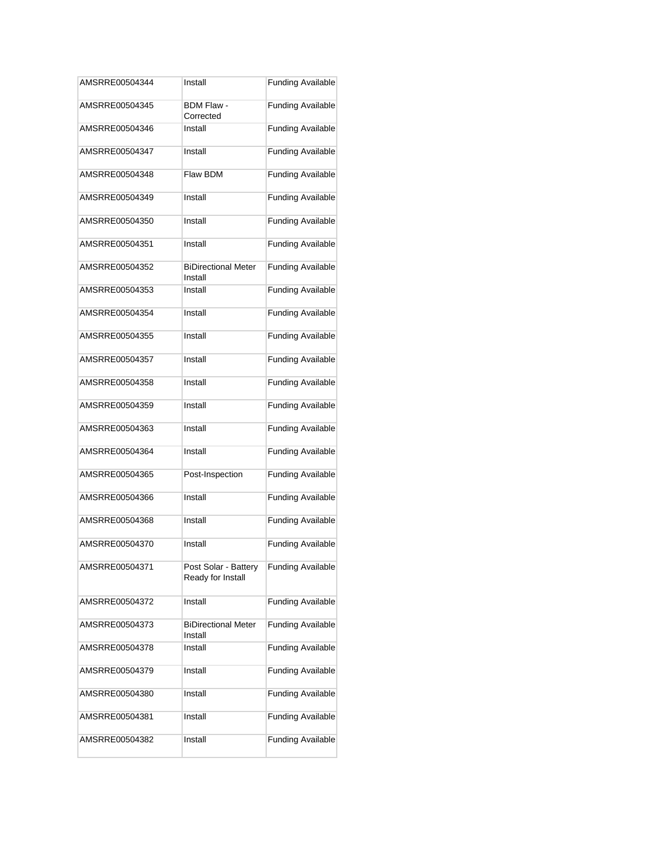| AMSRRE00504344 | Install                                   | <b>Funding Available</b> |
|----------------|-------------------------------------------|--------------------------|
| AMSRRE00504345 | BDM Flaw -<br>Corrected                   | <b>Funding Available</b> |
| AMSRRE00504346 | Install                                   | <b>Funding Available</b> |
| AMSRRE00504347 | Install                                   | <b>Funding Available</b> |
| AMSRRE00504348 | Flaw BDM                                  | <b>Funding Available</b> |
| AMSRRE00504349 | Install                                   | <b>Funding Available</b> |
| AMSRRE00504350 | Install                                   | <b>Funding Available</b> |
| AMSRRE00504351 | Install                                   | <b>Funding Available</b> |
| AMSRRE00504352 | <b>BiDirectional Meter</b><br>Install     | <b>Funding Available</b> |
| AMSRRE00504353 | Install                                   | <b>Funding Available</b> |
| AMSRRE00504354 | Install                                   | <b>Funding Available</b> |
| AMSRRE00504355 | Install                                   | <b>Funding Available</b> |
| AMSRRE00504357 | Install                                   | <b>Funding Available</b> |
| AMSRRE00504358 | Install                                   | <b>Funding Available</b> |
| AMSRRE00504359 | Install                                   | <b>Funding Available</b> |
| AMSRRE00504363 | Install                                   | <b>Funding Available</b> |
| AMSRRE00504364 | Install                                   | <b>Funding Available</b> |
| AMSRRE00504365 | Post-Inspection                           | <b>Funding Available</b> |
| AMSRRE00504366 | Install                                   | <b>Funding Available</b> |
| AMSRRE00504368 | Install                                   | <b>Funding Available</b> |
| AMSRRE00504370 | Install                                   | <b>Funding Available</b> |
| AMSRRE00504371 | Post Solar - Battery<br>Ready for Install | <b>Funding Available</b> |
| AMSRRE00504372 | Install                                   | <b>Funding Available</b> |
| AMSRRE00504373 | <b>BiDirectional Meter</b><br>Install     | <b>Funding Available</b> |
| AMSRRE00504378 | Install                                   | <b>Funding Available</b> |
| AMSRRE00504379 | Install                                   | <b>Funding Available</b> |
| AMSRRE00504380 | Install                                   | <b>Funding Available</b> |
| AMSRRE00504381 | Install                                   | <b>Funding Available</b> |
| AMSRRE00504382 | Install                                   | <b>Funding Available</b> |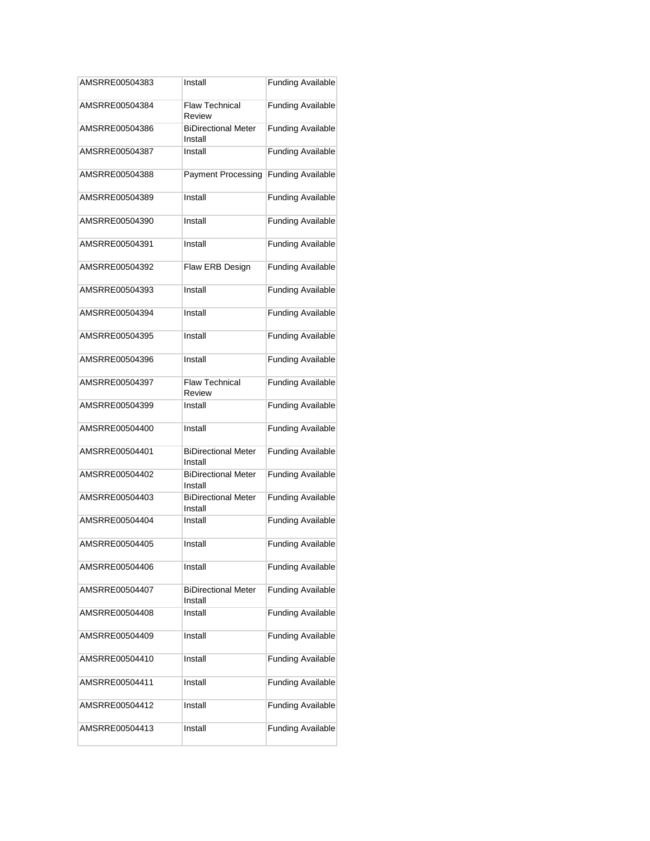| AMSRRE00504383 | Install                               | <b>Funding Available</b> |
|----------------|---------------------------------------|--------------------------|
| AMSRRE00504384 | <b>Flaw Technical</b><br>Review       | <b>Funding Available</b> |
| AMSRRE00504386 | <b>BiDirectional Meter</b><br>Install | <b>Funding Available</b> |
| AMSRRE00504387 | Install                               | <b>Funding Available</b> |
| AMSRRE00504388 | <b>Payment Processing</b>             | <b>Funding Available</b> |
| AMSRRE00504389 | Install                               | <b>Funding Available</b> |
| AMSRRE00504390 | Install                               | <b>Funding Available</b> |
| AMSRRE00504391 | Install                               | <b>Funding Available</b> |
| AMSRRE00504392 | Flaw ERB Design                       | <b>Funding Available</b> |
| AMSRRE00504393 | Install                               | <b>Funding Available</b> |
| AMSRRE00504394 | Install                               | <b>Funding Available</b> |
| AMSRRE00504395 | Install                               | <b>Funding Available</b> |
| AMSRRE00504396 | Install                               | <b>Funding Available</b> |
| AMSRRE00504397 | <b>Flaw Technical</b><br>Review       | <b>Funding Available</b> |
| AMSRRE00504399 | Install                               | <b>Funding Available</b> |
| AMSRRE00504400 | Install                               | <b>Funding Available</b> |
| AMSRRE00504401 | <b>BiDirectional Meter</b><br>Install | <b>Funding Available</b> |
| AMSRRE00504402 | <b>BiDirectional Meter</b><br>Install | <b>Funding Available</b> |
| AMSRRE00504403 | <b>BiDirectional Meter</b><br>Install | <b>Funding Available</b> |
| AMSRRE00504404 | Install                               | <b>Funding Available</b> |
| AMSRRE00504405 | Install                               | <b>Funding Available</b> |
| AMSRRE00504406 | Install                               | <b>Funding Available</b> |
| AMSRRE00504407 | <b>BiDirectional Meter</b><br>Install | <b>Funding Available</b> |
| AMSRRE00504408 | Install                               | <b>Funding Available</b> |
| AMSRRE00504409 | Install                               | <b>Funding Available</b> |
| AMSRRE00504410 | Install                               | <b>Funding Available</b> |
| AMSRRE00504411 | Install                               | <b>Funding Available</b> |
| AMSRRE00504412 | Install                               | <b>Funding Available</b> |
| AMSRRE00504413 | Install                               | <b>Funding Available</b> |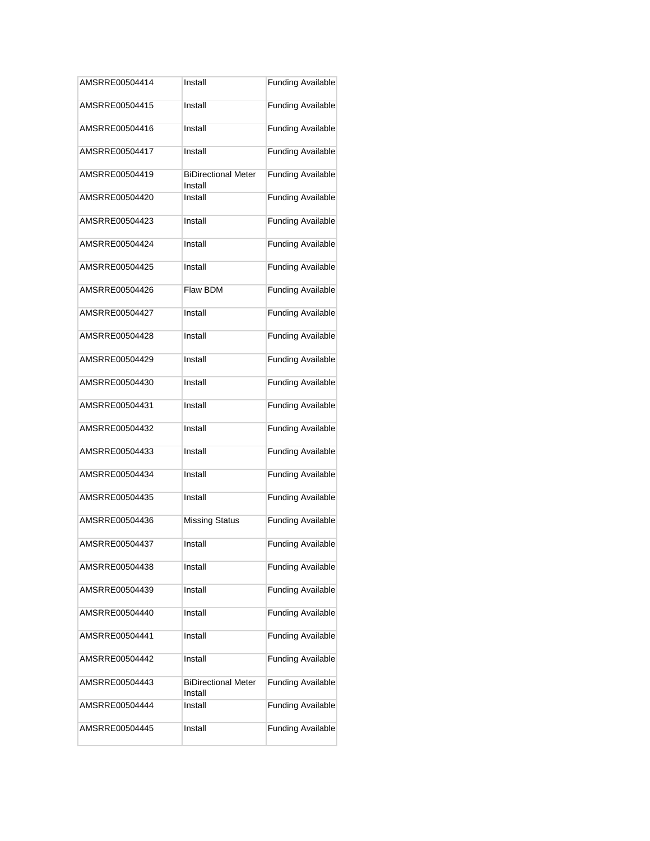| AMSRRE00504414 | Install                               | <b>Funding Available</b> |
|----------------|---------------------------------------|--------------------------|
| AMSRRE00504415 | Install                               | <b>Funding Available</b> |
| AMSRRE00504416 | Install                               | <b>Funding Available</b> |
| AMSRRE00504417 | Install                               | <b>Funding Available</b> |
| AMSRRE00504419 | <b>BiDirectional Meter</b><br>Install | <b>Funding Available</b> |
| AMSRRE00504420 | Install                               | <b>Funding Available</b> |
| AMSRRE00504423 | Install                               | <b>Funding Available</b> |
| AMSRRE00504424 | Install                               | <b>Funding Available</b> |
| AMSRRE00504425 | Install                               | <b>Funding Available</b> |
| AMSRRE00504426 | Flaw BDM                              | <b>Funding Available</b> |
| AMSRRE00504427 | Install                               | <b>Funding Available</b> |
| AMSRRE00504428 | Install                               | <b>Funding Available</b> |
| AMSRRE00504429 | Install                               | <b>Funding Available</b> |
| AMSRRE00504430 | Install                               | <b>Funding Available</b> |
| AMSRRE00504431 | Install                               | <b>Funding Available</b> |
| AMSRRE00504432 | Install                               | <b>Funding Available</b> |
| AMSRRE00504433 | Install                               | <b>Funding Available</b> |
| AMSRRE00504434 | Install                               | <b>Funding Available</b> |
| AMSRRE00504435 | Install                               | <b>Funding Available</b> |
| AMSRRE00504436 | <b>Missing Status</b>                 | <b>Funding Available</b> |
| AMSRRE00504437 | Install                               | <b>Funding Available</b> |
| AMSRRE00504438 | Install                               | <b>Funding Available</b> |
| AMSRRE00504439 | Install                               | <b>Funding Available</b> |
| AMSRRE00504440 | Install                               | <b>Funding Available</b> |
| AMSRRE00504441 | Install                               | <b>Funding Available</b> |
| AMSRRE00504442 | Install                               | <b>Funding Available</b> |
| AMSRRE00504443 | <b>BiDirectional Meter</b><br>Install | <b>Funding Available</b> |
| AMSRRE00504444 | Install                               | <b>Funding Available</b> |
| AMSRRE00504445 | Install                               | <b>Funding Available</b> |
|                |                                       |                          |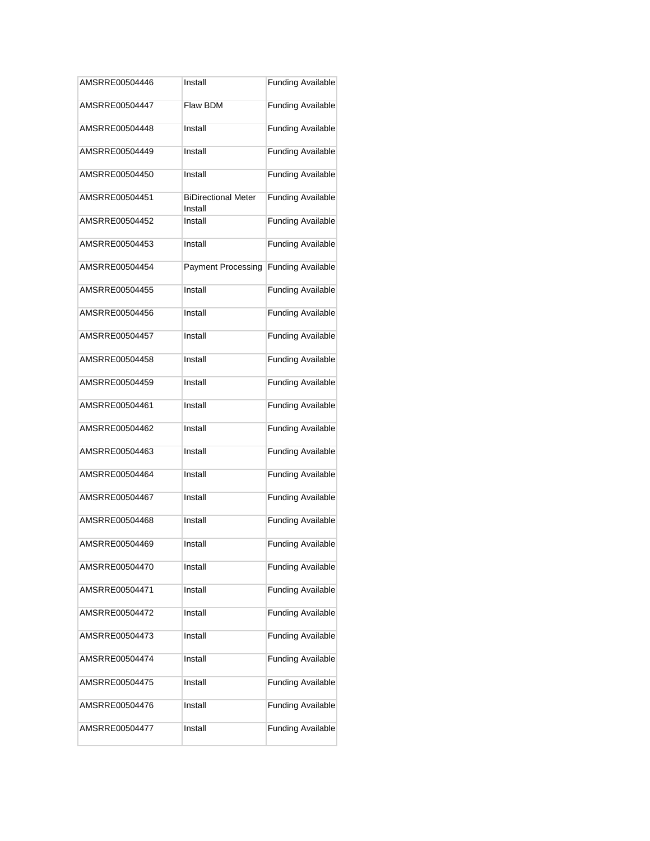| AMSRRE00504446 | Install                               | <b>Funding Available</b> |
|----------------|---------------------------------------|--------------------------|
| AMSRRE00504447 | Flaw BDM                              | <b>Funding Available</b> |
| AMSRRE00504448 | Install                               | <b>Funding Available</b> |
| AMSRRE00504449 | Install                               | <b>Funding Available</b> |
| AMSRRE00504450 | Install                               | <b>Funding Available</b> |
| AMSRRE00504451 | <b>BiDirectional Meter</b><br>Install | <b>Funding Available</b> |
| AMSRRE00504452 | Install                               | <b>Funding Available</b> |
| AMSRRE00504453 | Install                               | <b>Funding Available</b> |
| AMSRRE00504454 | <b>Payment Processing</b>             | <b>Funding Available</b> |
| AMSRRE00504455 | Install                               | <b>Funding Available</b> |
| AMSRRE00504456 | Install                               | <b>Funding Available</b> |
| AMSRRE00504457 | Install                               | <b>Funding Available</b> |
| AMSRRE00504458 | Install                               | <b>Funding Available</b> |
| AMSRRE00504459 | Install                               | <b>Funding Available</b> |
| AMSRRE00504461 | Install                               | <b>Funding Available</b> |
| AMSRRE00504462 | Install                               | <b>Funding Available</b> |
| AMSRRE00504463 | Install                               | <b>Funding Available</b> |
| AMSRRE00504464 | Install                               | <b>Funding Available</b> |
| AMSRRE00504467 | Install                               | <b>Funding Available</b> |
| AMSRRE00504468 | Install                               | <b>Funding Available</b> |
| AMSRRE00504469 | Install                               | <b>Funding Available</b> |
| AMSRRE00504470 | Install                               | <b>Funding Available</b> |
| AMSRRE00504471 | Install                               | <b>Funding Available</b> |
| AMSRRE00504472 | Install                               | <b>Funding Available</b> |
| AMSRRE00504473 | Install                               | <b>Funding Available</b> |
| AMSRRE00504474 | Install                               | <b>Funding Available</b> |
| AMSRRE00504475 | Install                               | <b>Funding Available</b> |
| AMSRRE00504476 | Install                               | <b>Funding Available</b> |
| AMSRRE00504477 | Install                               | <b>Funding Available</b> |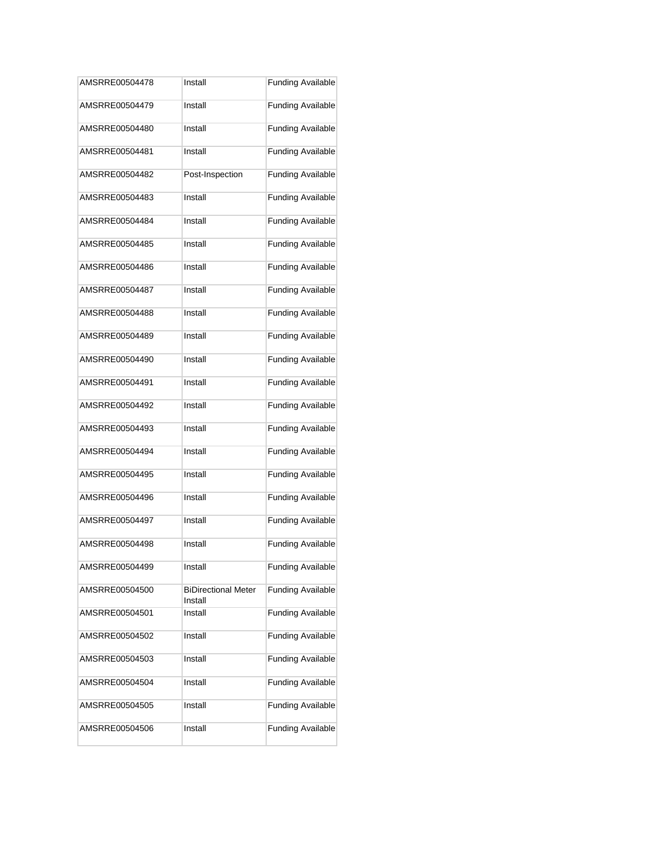| AMSRRE00504478 | Install                               | <b>Funding Available</b> |
|----------------|---------------------------------------|--------------------------|
| AMSRRE00504479 | Install                               | <b>Funding Available</b> |
| AMSRRE00504480 | Install                               | <b>Funding Available</b> |
| AMSRRE00504481 | Install                               | <b>Funding Available</b> |
| AMSRRE00504482 | Post-Inspection                       | <b>Funding Available</b> |
| AMSRRE00504483 | Install                               | <b>Funding Available</b> |
| AMSRRE00504484 | Install                               | <b>Funding Available</b> |
| AMSRRE00504485 | Install                               | <b>Funding Available</b> |
| AMSRRE00504486 | Install                               | <b>Funding Available</b> |
| AMSRRE00504487 | Install                               | <b>Funding Available</b> |
| AMSRRE00504488 | Install                               | <b>Funding Available</b> |
| AMSRRE00504489 | Install                               | <b>Funding Available</b> |
| AMSRRE00504490 | Install                               | <b>Funding Available</b> |
| AMSRRE00504491 | Install                               | <b>Funding Available</b> |
| AMSRRE00504492 | Install                               | <b>Funding Available</b> |
| AMSRRE00504493 | Install                               | <b>Funding Available</b> |
| AMSRRE00504494 | Install                               | <b>Funding Available</b> |
| AMSRRE00504495 | Install                               | <b>Funding Available</b> |
| AMSRRE00504496 | Install                               | <b>Funding Available</b> |
| AMSRRE00504497 | Install                               | <b>Funding Available</b> |
| AMSRRE00504498 | Install                               | <b>Funding Available</b> |
| AMSRRE00504499 | Install                               | <b>Funding Available</b> |
| AMSRRE00504500 | <b>BiDirectional Meter</b><br>Install | <b>Funding Available</b> |
| AMSRRE00504501 | Install                               | <b>Funding Available</b> |
| AMSRRE00504502 | Install                               | <b>Funding Available</b> |
| AMSRRE00504503 | Install                               | <b>Funding Available</b> |
| AMSRRE00504504 | Install                               | <b>Funding Available</b> |
| AMSRRE00504505 | Install                               | <b>Funding Available</b> |
| AMSRRE00504506 | Install                               | <b>Funding Available</b> |
|                |                                       |                          |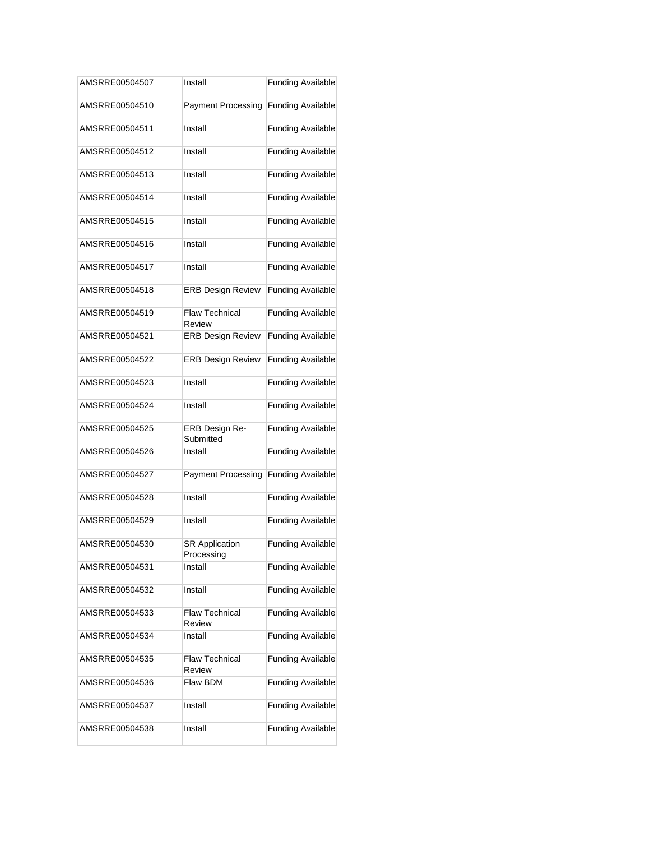| AMSRRE00504507 | Install                             | <b>Funding Available</b> |
|----------------|-------------------------------------|--------------------------|
| AMSRRE00504510 | <b>Payment Processing</b>           | <b>Funding Available</b> |
| AMSRRE00504511 | Install                             | <b>Funding Available</b> |
| AMSRRE00504512 | Install                             | <b>Funding Available</b> |
| AMSRRE00504513 | Install                             | <b>Funding Available</b> |
| AMSRRE00504514 | Install                             | <b>Funding Available</b> |
| AMSRRE00504515 | Install                             | <b>Funding Available</b> |
| AMSRRE00504516 | Install                             | <b>Funding Available</b> |
| AMSRRE00504517 | Install                             | <b>Funding Available</b> |
| AMSRRE00504518 | <b>ERB Design Review</b>            | <b>Funding Available</b> |
| AMSRRE00504519 | <b>Flaw Technical</b><br>Review     | <b>Funding Available</b> |
| AMSRRE00504521 | <b>ERB Design Review</b>            | <b>Funding Available</b> |
| AMSRRE00504522 | <b>ERB Design Review</b>            | <b>Funding Available</b> |
| AMSRRE00504523 | Install                             | <b>Funding Available</b> |
| AMSRRE00504524 | Install                             | <b>Funding Available</b> |
| AMSRRE00504525 | ERB Design Re-<br>Submitted         | <b>Funding Available</b> |
| AMSRRE00504526 | Install                             | <b>Funding Available</b> |
| AMSRRE00504527 | <b>Payment Processing</b>           | <b>Funding Available</b> |
| AMSRRE00504528 | Install                             | <b>Funding Available</b> |
| AMSRRE00504529 | Install                             | <b>Funding Available</b> |
| AMSRRE00504530 | <b>SR Application</b><br>Processing | <b>Funding Available</b> |
| AMSRRE00504531 | Install                             | <b>Funding Available</b> |
| AMSRRE00504532 | Install                             | <b>Funding Available</b> |
| AMSRRE00504533 | <b>Flaw Technical</b><br>Review     | <b>Funding Available</b> |
| AMSRRE00504534 | Install                             | <b>Funding Available</b> |
| AMSRRE00504535 | <b>Flaw Technical</b><br>Review     | <b>Funding Available</b> |
| AMSRRE00504536 | Flaw BDM                            | <b>Funding Available</b> |
| AMSRRE00504537 | Install                             | <b>Funding Available</b> |
| AMSRRE00504538 | Install                             | <b>Funding Available</b> |
|                |                                     |                          |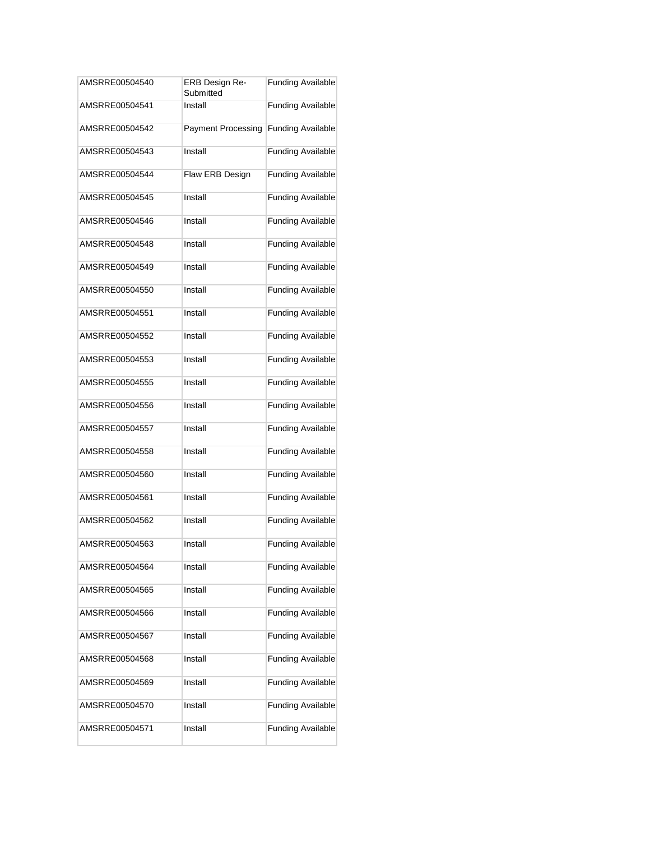| AMSRRE00504540 | ERB Design Re-<br>Submitted | <b>Funding Available</b> |
|----------------|-----------------------------|--------------------------|
| AMSRRE00504541 | Install                     | <b>Funding Available</b> |
| AMSRRE00504542 | <b>Payment Processing</b>   | <b>Funding Available</b> |
| AMSRRE00504543 | Install                     | <b>Funding Available</b> |
| AMSRRE00504544 | Flaw ERB Design             | <b>Funding Available</b> |
| AMSRRE00504545 | Install                     | <b>Funding Available</b> |
| AMSRRE00504546 | Install                     | <b>Funding Available</b> |
| AMSRRE00504548 | Install                     | <b>Funding Available</b> |
| AMSRRE00504549 | Install                     | <b>Funding Available</b> |
| AMSRRE00504550 | Install                     | <b>Funding Available</b> |
| AMSRRE00504551 | Install                     | <b>Funding Available</b> |
| AMSRRE00504552 | Install                     | <b>Funding Available</b> |
| AMSRRE00504553 | Install                     | <b>Funding Available</b> |
| AMSRRE00504555 | Install                     | <b>Funding Available</b> |
| AMSRRE00504556 | Install                     | <b>Funding Available</b> |
| AMSRRE00504557 | Install                     | <b>Funding Available</b> |
| AMSRRE00504558 | Install                     | <b>Funding Available</b> |
| AMSRRE00504560 | Install                     | <b>Funding Available</b> |
| AMSRRE00504561 | Install                     | <b>Funding Available</b> |
| AMSRRE00504562 | Install                     | <b>Funding Available</b> |
| AMSRRE00504563 | Install                     | <b>Funding Available</b> |
| AMSRRE00504564 | Install                     | <b>Funding Available</b> |
| AMSRRE00504565 | Install                     | <b>Funding Available</b> |
| AMSRRE00504566 | Install                     | <b>Funding Available</b> |
| AMSRRE00504567 | Install                     | <b>Funding Available</b> |
| AMSRRE00504568 | Install                     | <b>Funding Available</b> |
| AMSRRE00504569 | Install                     | <b>Funding Available</b> |
| AMSRRE00504570 | Install                     | <b>Funding Available</b> |
| AMSRRE00504571 | Install                     | <b>Funding Available</b> |
|                |                             |                          |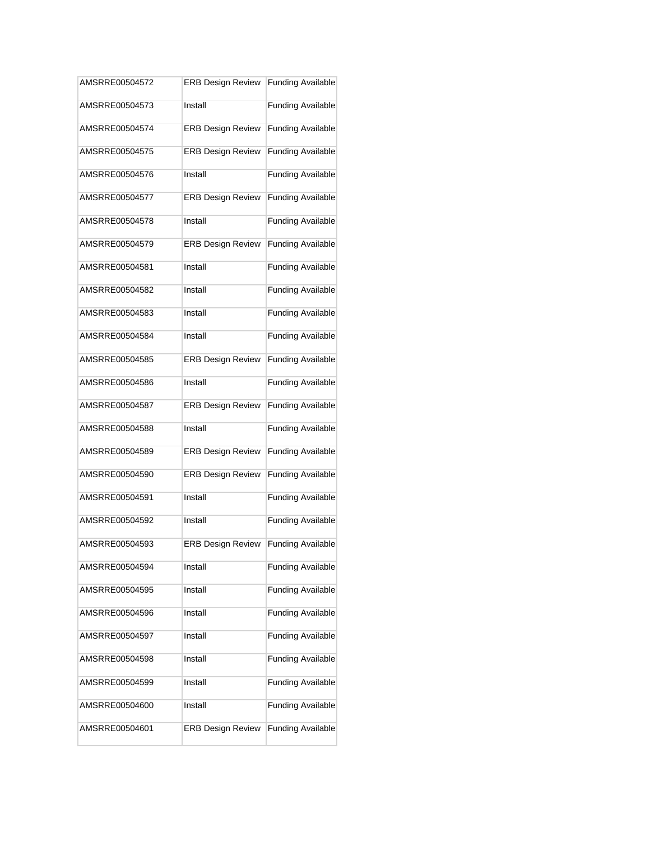| AMSRRE00504572 | <b>ERB Design Review</b> | <b>Funding Available</b> |
|----------------|--------------------------|--------------------------|
| AMSRRE00504573 | Install                  | <b>Funding Available</b> |
| AMSRRE00504574 | <b>ERB Design Review</b> | <b>Funding Available</b> |
| AMSRRE00504575 | <b>ERB Design Review</b> | <b>Funding Available</b> |
| AMSRRE00504576 | Install                  | <b>Funding Available</b> |
| AMSRRE00504577 | <b>ERB Design Review</b> | <b>Funding Available</b> |
| AMSRRE00504578 | Install                  | <b>Funding Available</b> |
| AMSRRE00504579 | <b>ERB Design Review</b> | <b>Funding Available</b> |
| AMSRRE00504581 | Install                  | <b>Funding Available</b> |
| AMSRRE00504582 | Install                  | <b>Funding Available</b> |
| AMSRRE00504583 | Install                  | <b>Funding Available</b> |
| AMSRRE00504584 | Install                  | <b>Funding Available</b> |
| AMSRRE00504585 | <b>ERB Design Review</b> | <b>Funding Available</b> |
| AMSRRE00504586 | Install                  | <b>Funding Available</b> |
| AMSRRE00504587 | <b>ERB Design Review</b> | <b>Funding Available</b> |
| AMSRRE00504588 | Install                  | <b>Funding Available</b> |
| AMSRRE00504589 | <b>ERB Design Review</b> | <b>Funding Available</b> |
| AMSRRE00504590 | <b>ERB Design Review</b> | <b>Funding Available</b> |
| AMSRRE00504591 | Install                  | <b>Funding Available</b> |
| AMSRRE00504592 | Install                  | <b>Funding Available</b> |
| AMSRRE00504593 | <b>ERB Design Review</b> | <b>Funding Available</b> |
| AMSRRE00504594 | Install                  | <b>Funding Available</b> |
| AMSRRE00504595 | Install                  | <b>Funding Available</b> |
| AMSRRE00504596 | Install                  | <b>Funding Available</b> |
| AMSRRE00504597 | Install                  | <b>Funding Available</b> |
| AMSRRE00504598 | Install                  | <b>Funding Available</b> |
| AMSRRE00504599 | Install                  | <b>Funding Available</b> |
| AMSRRE00504600 | Install                  | <b>Funding Available</b> |
| AMSRRE00504601 | <b>ERB Design Review</b> | <b>Funding Available</b> |
|                |                          |                          |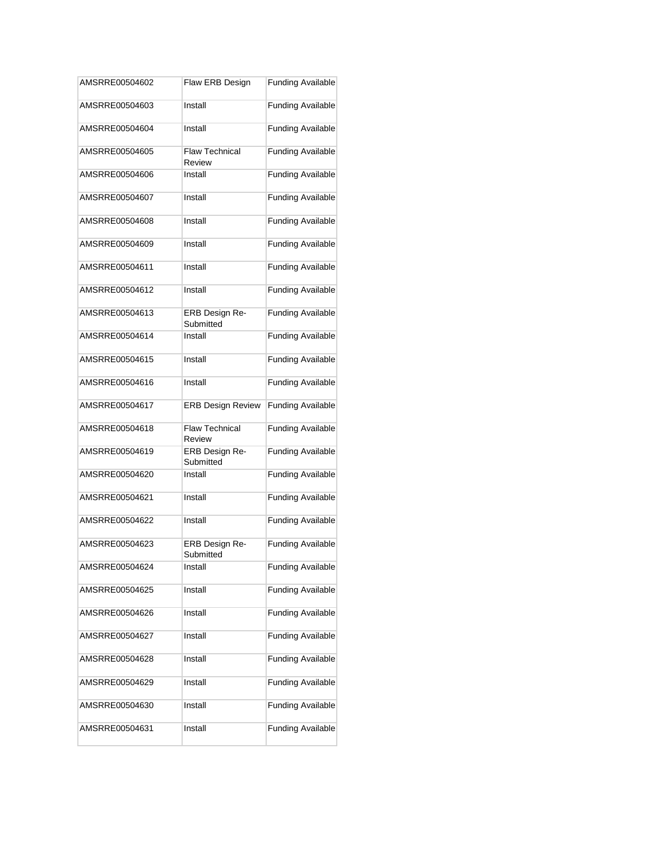| AMSRRE00504602 | Flaw ERB Design                 | <b>Funding Available</b> |
|----------------|---------------------------------|--------------------------|
| AMSRRE00504603 | Install                         | <b>Funding Available</b> |
| AMSRRE00504604 | Install                         | <b>Funding Available</b> |
| AMSRRE00504605 | <b>Flaw Technical</b><br>Review | <b>Funding Available</b> |
| AMSRRE00504606 | Install                         | <b>Funding Available</b> |
| AMSRRE00504607 | Install                         | <b>Funding Available</b> |
| AMSRRE00504608 | Install                         | <b>Funding Available</b> |
| AMSRRE00504609 | Install                         | <b>Funding Available</b> |
| AMSRRE00504611 | Install                         | <b>Funding Available</b> |
| AMSRRE00504612 | Install                         | <b>Funding Available</b> |
| AMSRRE00504613 | ERB Design Re-<br>Submitted     | <b>Funding Available</b> |
| AMSRRE00504614 | Install                         | <b>Funding Available</b> |
| AMSRRE00504615 | Install                         | <b>Funding Available</b> |
| AMSRRE00504616 | Install                         | <b>Funding Available</b> |
| AMSRRE00504617 | <b>ERB Design Review</b>        | <b>Funding Available</b> |
| AMSRRE00504618 | <b>Flaw Technical</b><br>Review | <b>Funding Available</b> |
| AMSRRE00504619 | ERB Design Re-<br>Submitted     | <b>Funding Available</b> |
| AMSRRE00504620 | Install                         | <b>Funding Available</b> |
| AMSRRE00504621 | Install                         | <b>Funding Available</b> |
| AMSRRE00504622 | Install                         | <b>Funding Available</b> |
| AMSRRE00504623 | ERB Design Re-<br>Submitted     | <b>Funding Available</b> |
| AMSRRE00504624 | Install                         | <b>Funding Available</b> |
| AMSRRE00504625 | Install                         | <b>Funding Available</b> |
| AMSRRE00504626 | Install                         | <b>Funding Available</b> |
| AMSRRE00504627 | Install                         | <b>Funding Available</b> |
| AMSRRE00504628 | Install                         | <b>Funding Available</b> |
| AMSRRE00504629 | Install                         | <b>Funding Available</b> |
| AMSRRE00504630 | Install                         | <b>Funding Available</b> |
| AMSRRE00504631 | Install                         | <b>Funding Available</b> |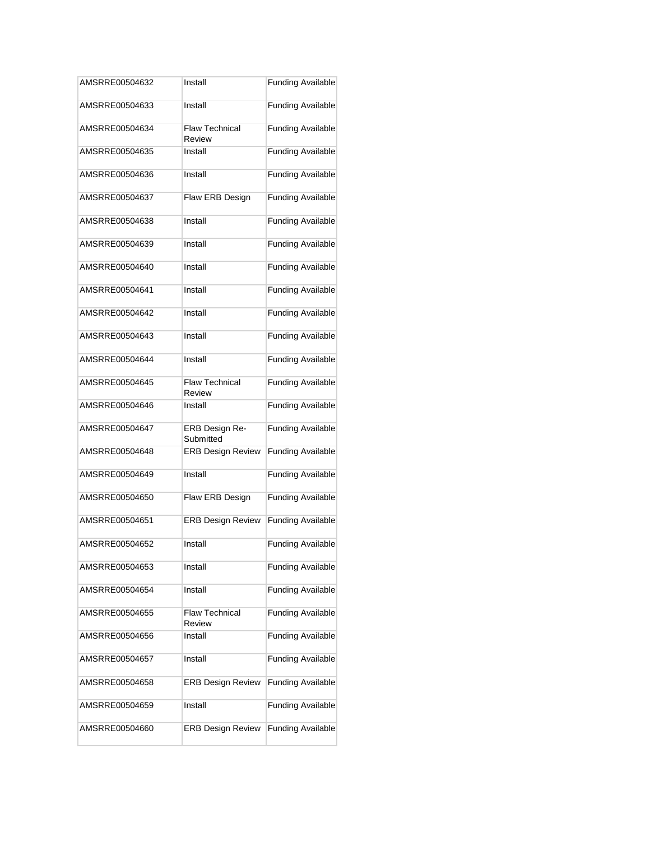| AMSRRE00504632 | Install                         | <b>Funding Available</b> |
|----------------|---------------------------------|--------------------------|
| AMSRRE00504633 | Install                         | <b>Funding Available</b> |
| AMSRRE00504634 | <b>Flaw Technical</b><br>Review | <b>Funding Available</b> |
| AMSRRE00504635 | Install                         | <b>Funding Available</b> |
| AMSRRE00504636 | Install                         | <b>Funding Available</b> |
| AMSRRE00504637 | Flaw ERB Design                 | <b>Funding Available</b> |
| AMSRRE00504638 | Install                         | <b>Funding Available</b> |
| AMSRRE00504639 | Install                         | <b>Funding Available</b> |
| AMSRRE00504640 | Install                         | <b>Funding Available</b> |
| AMSRRE00504641 | Install                         | <b>Funding Available</b> |
| AMSRRE00504642 | Install                         | <b>Funding Available</b> |
| AMSRRE00504643 | Install                         | <b>Funding Available</b> |
| AMSRRE00504644 | Install                         | <b>Funding Available</b> |
| AMSRRE00504645 | <b>Flaw Technical</b><br>Review | <b>Funding Available</b> |
| AMSRRE00504646 | Install                         | <b>Funding Available</b> |
| AMSRRE00504647 | ERB Design Re-<br>Submitted     | <b>Funding Available</b> |
| AMSRRE00504648 | <b>ERB Design Review</b>        | <b>Funding Available</b> |
| AMSRRE00504649 | Install                         | <b>Funding Available</b> |
| AMSRRE00504650 | Flaw ERB Design                 | <b>Funding Available</b> |
| AMSRRE00504651 | <b>ERB Design Review</b>        | <b>Funding Available</b> |
| AMSRRE00504652 | Install                         | <b>Funding Available</b> |
| AMSRRE00504653 | Install                         | <b>Funding Available</b> |
| AMSRRE00504654 | Install                         | <b>Funding Available</b> |
| AMSRRE00504655 | <b>Flaw Technical</b><br>Review | <b>Funding Available</b> |
| AMSRRE00504656 | Install                         | <b>Funding Available</b> |
| AMSRRE00504657 | Install                         | <b>Funding Available</b> |
| AMSRRE00504658 | <b>ERB Design Review</b>        | <b>Funding Available</b> |
| AMSRRE00504659 | Install                         | <b>Funding Available</b> |
| AMSRRE00504660 | <b>ERB Design Review</b>        | <b>Funding Available</b> |
|                |                                 |                          |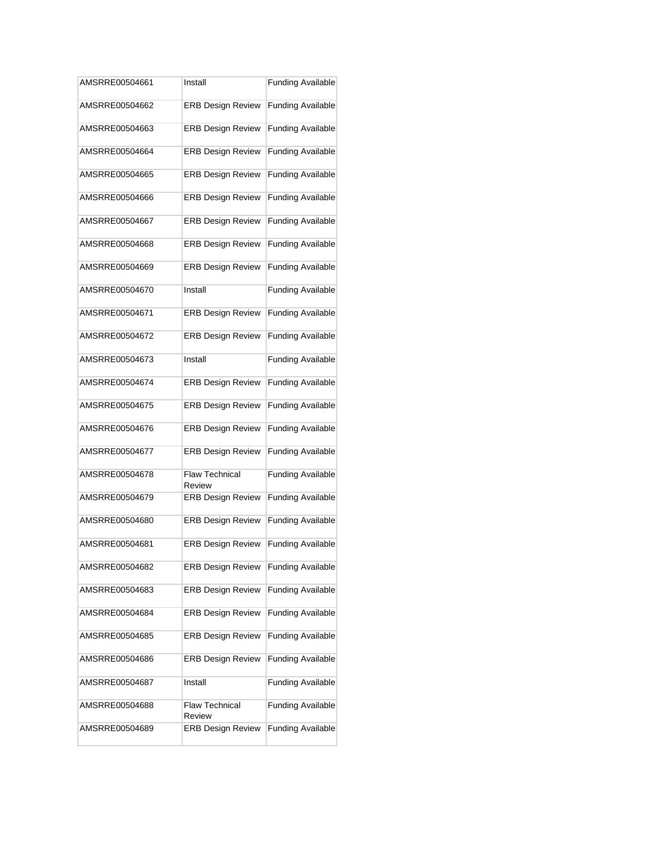| AMSRRE00504661 | Install                         | <b>Funding Available</b> |
|----------------|---------------------------------|--------------------------|
| AMSRRE00504662 | <b>ERB Design Review</b>        | <b>Funding Available</b> |
| AMSRRE00504663 | <b>ERB Design Review</b>        | <b>Funding Available</b> |
| AMSRRE00504664 | <b>ERB Design Review</b>        | <b>Funding Available</b> |
| AMSRRE00504665 | <b>ERB Design Review</b>        | <b>Funding Available</b> |
| AMSRRE00504666 | <b>ERB Design Review</b>        | <b>Funding Available</b> |
| AMSRRE00504667 | <b>ERB Design Review</b>        | <b>Funding Available</b> |
| AMSRRE00504668 | <b>ERB Design Review</b>        | <b>Funding Available</b> |
| AMSRRE00504669 | <b>ERB Design Review</b>        | <b>Funding Available</b> |
| AMSRRE00504670 | Install                         | <b>Funding Available</b> |
| AMSRRE00504671 | <b>ERB Design Review</b>        | <b>Funding Available</b> |
| AMSRRE00504672 | <b>ERB Design Review</b>        | <b>Funding Available</b> |
| AMSRRE00504673 | Install                         | <b>Funding Available</b> |
| AMSRRE00504674 | <b>ERB Design Review</b>        | <b>Funding Available</b> |
| AMSRRE00504675 | <b>ERB Design Review</b>        | <b>Funding Available</b> |
| AMSRRE00504676 | <b>ERB Design Review</b>        | <b>Funding Available</b> |
| AMSRRE00504677 | <b>ERB Design Review</b>        | <b>Funding Available</b> |
| AMSRRE00504678 | <b>Flaw Technical</b><br>Review | <b>Funding Available</b> |
| AMSRRE00504679 | <b>ERB Design Review</b>        | <b>Funding Available</b> |
| AMSRRE00504680 | <b>ERB Design Review</b>        | <b>Funding Available</b> |
| AMSRRE00504681 | <b>ERB Design Review</b>        | <b>Funding Available</b> |
| AMSRRE00504682 | <b>ERB Design Review</b>        | <b>Funding Available</b> |
| AMSRRE00504683 | <b>ERB Design Review</b>        | <b>Funding Available</b> |
| AMSRRE00504684 | <b>ERB Design Review</b>        | <b>Funding Available</b> |
| AMSRRE00504685 | <b>ERB Design Review</b>        | <b>Funding Available</b> |
| AMSRRE00504686 | <b>ERB Design Review</b>        | <b>Funding Available</b> |
| AMSRRE00504687 | Install                         | <b>Funding Available</b> |
| AMSRRE00504688 | <b>Flaw Technical</b><br>Review | <b>Funding Available</b> |
| AMSRRE00504689 | <b>ERB Design Review</b>        | <b>Funding Available</b> |
|                |                                 |                          |